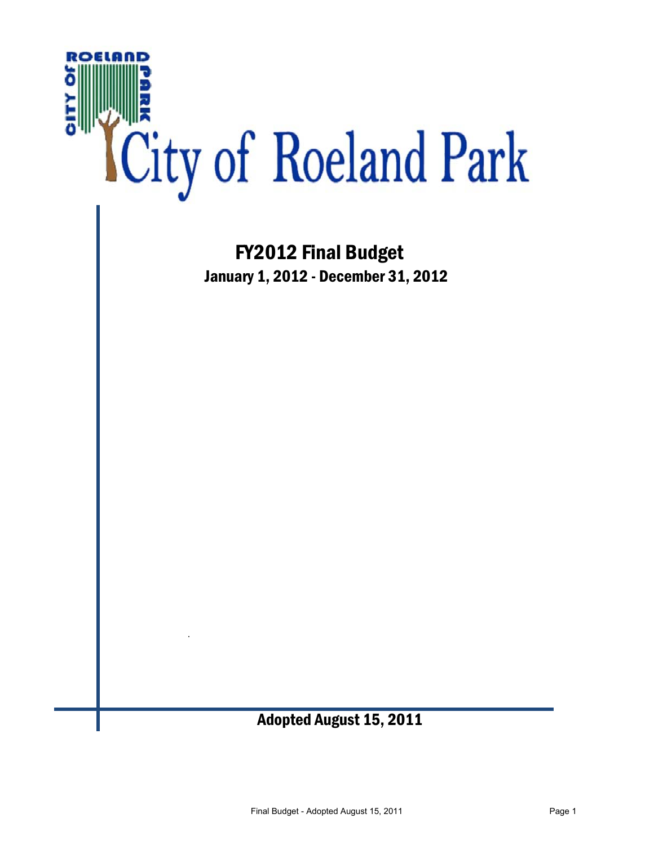

 FY2012 Final Budget January 1, 2012 - December 31, 2012

#### Adopted August 15, 2011

.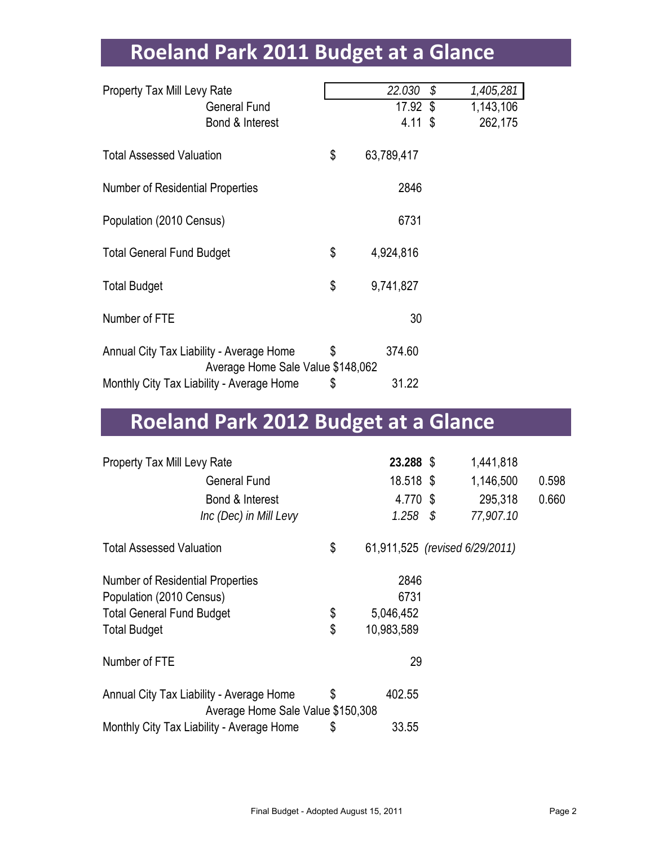# **Roeland Park 2011 Budget at a Glance**

| <b>Property Tax Mill Levy Rate</b>       |                                           | 22.030           | $\mathcal{S}$ | 1,405,281 |
|------------------------------------------|-------------------------------------------|------------------|---------------|-----------|
|                                          | <b>General Fund</b>                       | 17.92 \$         |               | 1,143,106 |
|                                          | Bond & Interest                           | 4.11 \$          |               | 262,175   |
|                                          |                                           |                  |               |           |
| <b>Total Assessed Valuation</b>          |                                           | \$<br>63,789,417 |               |           |
|                                          |                                           |                  |               |           |
| <b>Number of Residential Properties</b>  |                                           | 2846             |               |           |
|                                          |                                           |                  |               |           |
| Population (2010 Census)                 |                                           | 6731             |               |           |
|                                          |                                           |                  |               |           |
| <b>Total General Fund Budget</b>         |                                           | \$<br>4,924,816  |               |           |
|                                          |                                           |                  |               |           |
| <b>Total Budget</b>                      |                                           | \$<br>9,741,827  |               |           |
|                                          |                                           |                  |               |           |
| Number of FTE                            |                                           | 30               |               |           |
|                                          |                                           |                  |               |           |
| Annual City Tax Liability - Average Home |                                           | \$<br>374.60     |               |           |
|                                          | Average Home Sale Value \$148,062         |                  |               |           |
|                                          | Monthly City Tax Liability - Average Home | \$<br>31.22      |               |           |
|                                          |                                           |                  |               |           |

# **Roeland Park 2012 Budget at a Glance**

| Property Tax Mill Levy Rate                                                         |    | 23.288 \$                      | 1,441,818 |       |
|-------------------------------------------------------------------------------------|----|--------------------------------|-----------|-------|
| <b>General Fund</b>                                                                 |    | 18.518 \$                      | 1,146,500 | 0.598 |
| Bond & Interest                                                                     |    | 4.770 \$                       | 295,318   | 0.660 |
| Inc (Dec) in Mill Levy                                                              |    | $1.258$ \$                     | 77,907.10 |       |
| <b>Total Assessed Valuation</b>                                                     | \$ | 61,911,525 (revised 6/29/2011) |           |       |
| <b>Number of Residential Properties</b>                                             |    | 2846                           |           |       |
| Population (2010 Census)                                                            |    | 6731                           |           |       |
| <b>Total General Fund Budget</b>                                                    | \$ | 5,046,452                      |           |       |
| <b>Total Budget</b>                                                                 | \$ | 10,983,589                     |           |       |
| Number of FTE                                                                       |    | 29                             |           |       |
| \$<br>Annual City Tax Liability - Average Home<br>Average Home Sale Value \$150,308 |    | 402.55                         |           |       |
| Monthly City Tax Liability - Average Home                                           | \$ | 33.55                          |           |       |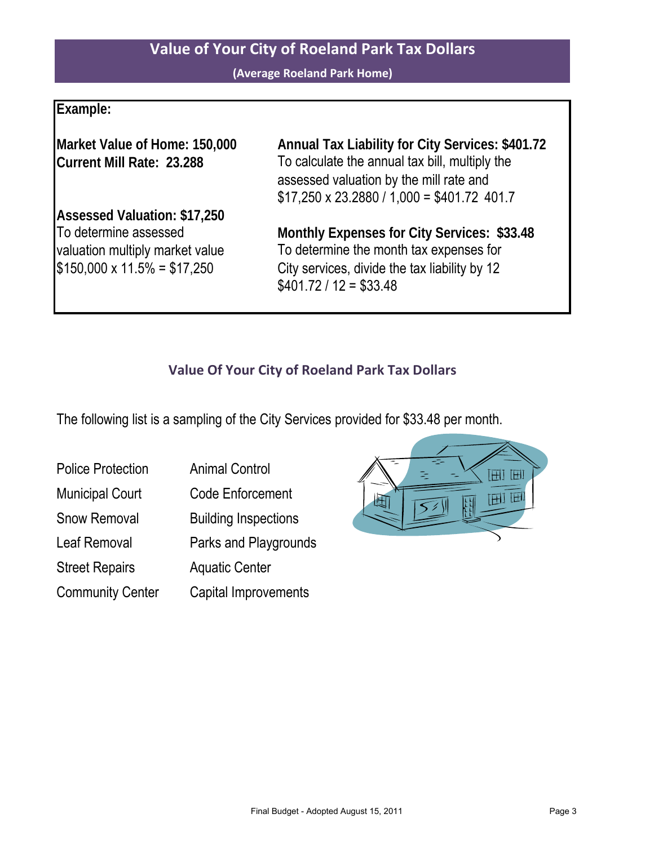#### **Value of Your City of Roeland Park Tax Dollars**

**(Average Roeland Park Home)**

#### **Example:**

**Current Mill Rate: 23.288**

**Assessed Valuation: \$17,250**  $$150,000 \times 11.5\% = $17,250$ To determine assessed

**Market Value of Home: 150,000 Annual Tax Liability for City Services: \$401.72**  $$17,250 \times 23.2880 / 1,000 = $401.72 401.7$ To calculate the annual tax bill, multiply the assessed valuation by the mill rate and

**Monthly Expenses for City Services: \$33.48**  $$401.72 / 12 = $33.48$ valuation multiply market value To determine the month tax expenses for City services, divide the tax liability by 12

#### **Value Of Your City of Roeland Park Tax Dollars**

The following list is a sampling of the City Services provided for \$33.48 per month.

| <b>Police Protection</b> | <b>Animal Control</b>       |
|--------------------------|-----------------------------|
| <b>Municipal Court</b>   | <b>Code Enforcement</b>     |
| <b>Snow Removal</b>      | <b>Building Inspections</b> |
| Leaf Removal             | Parks and Playgrounds       |
| <b>Street Repairs</b>    | <b>Aquatic Center</b>       |
| <b>Community Center</b>  | Capital Improvements        |

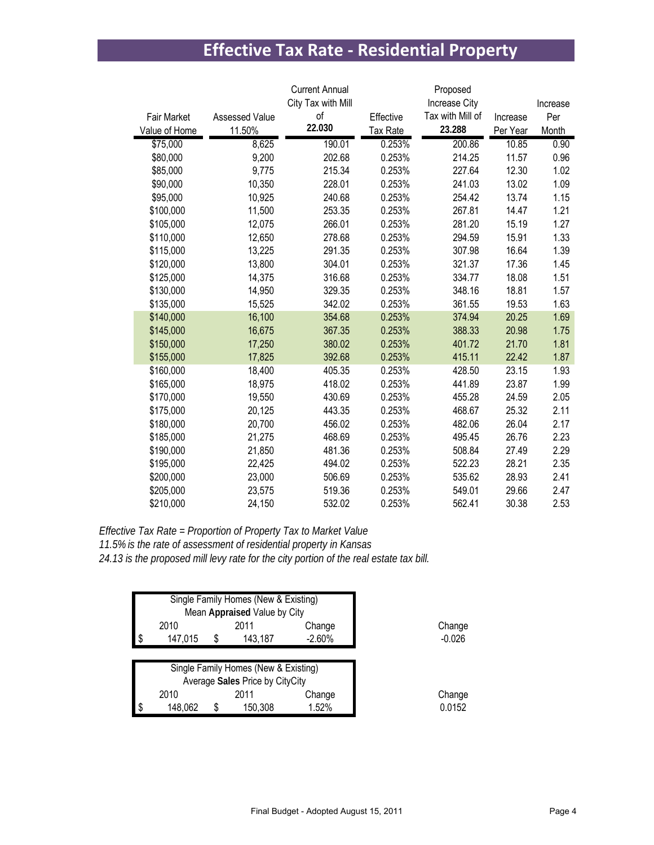## **Effective Tax Rate - Residential Property**

|               |                       | <b>Current Annual</b> |           | Proposed         |          |          |
|---------------|-----------------------|-----------------------|-----------|------------------|----------|----------|
|               |                       | City Tax with Mill    |           | Increase City    |          | Increase |
| Fair Market   | <b>Assessed Value</b> | of                    | Effective | Tax with Mill of | Increase | Per      |
| Value of Home | 11.50%                | 22.030                | Tax Rate  | 23.288           | Per Year | Month    |
| \$75,000      | 8,625                 | 190.01                | 0.253%    | 200.86           | 10.85    | 0.90     |
| \$80,000      | 9,200                 | 202.68                | 0.253%    | 214.25           | 11.57    | 0.96     |
| \$85,000      | 9,775                 | 215.34                | 0.253%    | 227.64           | 12.30    | 1.02     |
| \$90,000      | 10,350                | 228.01                | 0.253%    | 241.03           | 13.02    | 1.09     |
| \$95,000      | 10,925                | 240.68                | 0.253%    | 254.42           | 13.74    | 1.15     |
| \$100,000     | 11,500                | 253.35                | 0.253%    | 267.81           | 14.47    | 1.21     |
| \$105,000     | 12,075                | 266.01                | 0.253%    | 281.20           | 15.19    | 1.27     |
| \$110,000     | 12,650                | 278.68                | 0.253%    | 294.59           | 15.91    | 1.33     |
| \$115,000     | 13,225                | 291.35                | 0.253%    | 307.98           | 16.64    | 1.39     |
| \$120,000     | 13,800                | 304.01                | 0.253%    | 321.37           | 17.36    | 1.45     |
| \$125,000     | 14,375                | 316.68                | 0.253%    | 334.77           | 18.08    | 1.51     |
| \$130,000     | 14,950                | 329.35                | 0.253%    | 348.16           | 18.81    | 1.57     |
| \$135,000     | 15,525                | 342.02                | 0.253%    | 361.55           | 19.53    | 1.63     |
| \$140,000     | 16,100                | 354.68                | 0.253%    | 374.94           | 20.25    | 1.69     |
| \$145,000     | 16,675                | 367.35                | 0.253%    | 388.33           | 20.98    | 1.75     |
| \$150,000     | 17,250                | 380.02                | 0.253%    | 401.72           | 21.70    | 1.81     |
| \$155,000     | 17,825                | 392.68                | 0.253%    | 415.11           | 22.42    | 1.87     |
| \$160,000     | 18,400                | 405.35                | 0.253%    | 428.50           | 23.15    | 1.93     |
| \$165,000     | 18,975                | 418.02                | 0.253%    | 441.89           | 23.87    | 1.99     |
| \$170,000     | 19,550                | 430.69                | 0.253%    | 455.28           | 24.59    | 2.05     |
| \$175,000     | 20,125                | 443.35                | 0.253%    | 468.67           | 25.32    | 2.11     |
| \$180,000     | 20,700                | 456.02                | 0.253%    | 482.06           | 26.04    | 2.17     |
| \$185,000     | 21,275                | 468.69                | 0.253%    | 495.45           | 26.76    | 2.23     |
| \$190,000     | 21,850                | 481.36                | 0.253%    | 508.84           | 27.49    | 2.29     |
| \$195,000     | 22,425                | 494.02                | 0.253%    | 522.23           | 28.21    | 2.35     |
| \$200,000     | 23,000                | 506.69                | 0.253%    | 535.62           | 28.93    | 2.41     |
| \$205,000     | 23,575                | 519.36                | 0.253%    | 549.01           | 29.66    | 2.47     |
| \$210,000     | 24,150                | 532.02                | 0.253%    | 562.41           | 30.38    | 2.53     |

*Effective Tax Rate = Proportion of Property Tax to Market Value 11.5% is the rate of assessment of residential property in Kansas 24.13 is the proposed mill levy rate for the city portion of the real estate tax bill.*

| Single Family Homes (New & Existing)<br>Mean Appraised Value by City |                                      |   |                                 |          |          |
|----------------------------------------------------------------------|--------------------------------------|---|---------------------------------|----------|----------|
|                                                                      | 2010                                 |   | 2011                            | Change   | Change   |
|                                                                      | 147.015                              | S | 143.187                         | $-2.60%$ | $-0.026$ |
|                                                                      | Single Family Homes (New & Existing) |   |                                 |          |          |
|                                                                      |                                      |   | Average Sales Price by CityCity |          |          |
|                                                                      | 2010                                 |   | 2011                            | Change   | Change   |
|                                                                      | 148,062                              | S | 150,308                         | 1.52%    | 0.0152   |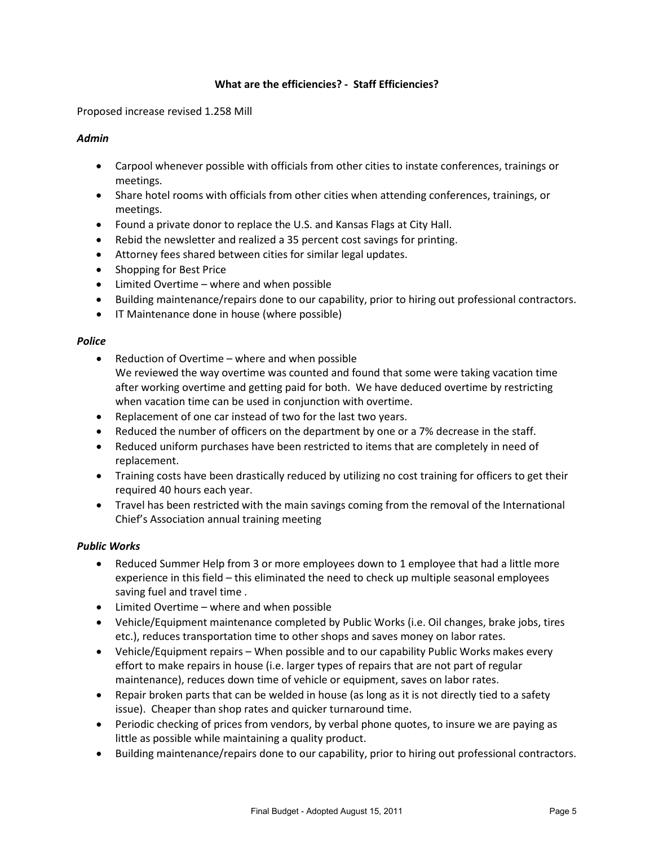#### **What are the efficiencies? - Staff Efficiencies?**

Proposed increase revised 1.258 Mill

#### *Admin*

- Carpool whenever possible with officials from other cities to instate conferences, trainings or meetings.
- Share hotel rooms with officials from other cities when attending conferences, trainings, or meetings.
- Found a private donor to replace the U.S. and Kansas Flags at City Hall.
- Rebid the newsletter and realized a 35 percent cost savings for printing.
- Attorney fees shared between cities for similar legal updates.
- Shopping for Best Price
- Limited Overtime where and when possible
- Building maintenance/repairs done to our capability, prior to hiring out professional contractors.
- IT Maintenance done in house (where possible)

#### *Police*

- Reduction of Overtime where and when possible We reviewed the way overtime was counted and found that some were taking vacation time after working overtime and getting paid for both. We have deduced overtime by restricting when vacation time can be used in conjunction with overtime.
- Replacement of one car instead of two for the last two years.
- Reduced the number of officers on the department by one or a 7% decrease in the staff.
- Reduced uniform purchases have been restricted to items that are completely in need of replacement.
- Training costs have been drastically reduced by utilizing no cost training for officers to get their required 40 hours each year.
- Travel has been restricted with the main savings coming from the removal of the International Chief's Association annual training meeting

#### *Public Works*

- Reduced Summer Help from 3 or more employees down to 1 employee that had a little more experience in this field – this eliminated the need to check up multiple seasonal employees saving fuel and travel time .
- Limited Overtime where and when possible
- Vehicle/Equipment maintenance completed by Public Works (i.e. Oil changes, brake jobs, tires etc.), reduces transportation time to other shops and saves money on labor rates.
- Vehicle/Equipment repairs When possible and to our capability Public Works makes every effort to make repairs in house (i.e. larger types of repairs that are not part of regular maintenance), reduces down time of vehicle or equipment, saves on labor rates.
- Repair broken parts that can be welded in house (as long as it is not directly tied to a safety issue). Cheaper than shop rates and quicker turnaround time.
- Periodic checking of prices from vendors, by verbal phone quotes, to insure we are paying as little as possible while maintaining a quality product.
- Building maintenance/repairs done to our capability, prior to hiring out professional contractors.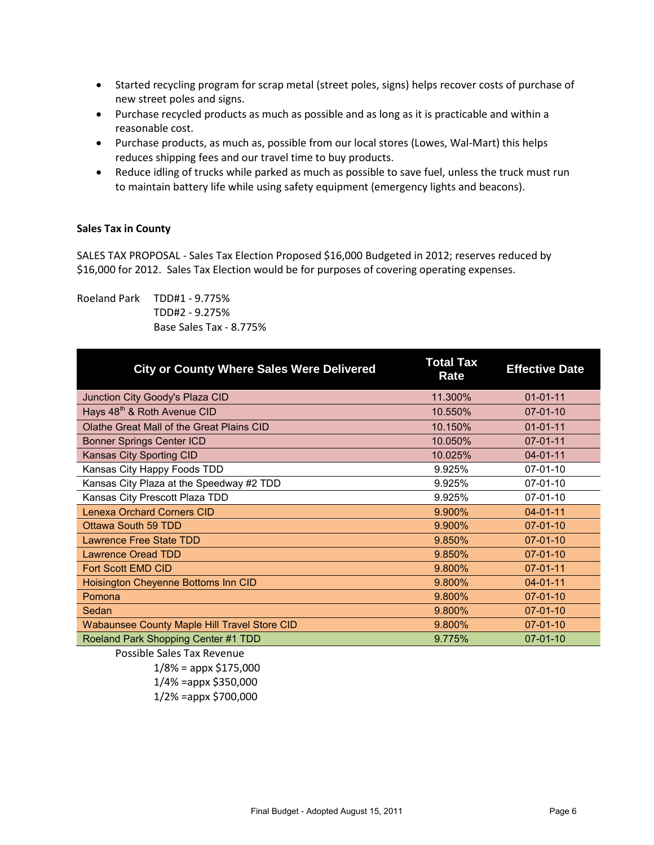- Started recycling program for scrap metal (street poles, signs) helps recover costs of purchase of new street poles and signs.
- Purchase recycled products as much as possible and as long as it is practicable and within a reasonable cost.
- Purchase products, as much as, possible from our local stores (Lowes, Wal-Mart) this helps reduces shipping fees and our travel time to buy products.
- Reduce idling of trucks while parked as much as possible to save fuel, unless the truck must run to maintain battery life while using safety equipment (emergency lights and beacons).

#### **Sales Tax in County**

SALES TAX PROPOSAL - Sales Tax Election Proposed \$16,000 Budgeted in 2012; reserves reduced by \$16,000 for 2012. Sales Tax Election would be for purposes of covering operating expenses.

Roeland Park TDD#1 - 9.775% TDD#2 - 9.275% Base Sales Tax - 8.775%

| <b>City or County Where Sales Were Delivered</b>    | <b>Total Tax</b><br>Rate | <b>Effective Date</b> |
|-----------------------------------------------------|--------------------------|-----------------------|
| Junction City Goody's Plaza CID                     | 11.300%                  | $01 - 01 - 11$        |
| Hays 48 <sup>th</sup> & Roth Avenue CID             | 10.550%                  | $07 - 01 - 10$        |
| Olathe Great Mall of the Great Plains CID           | 10.150%                  | $01 - 01 - 11$        |
| <b>Bonner Springs Center ICD</b>                    | 10.050%                  | $07 - 01 - 11$        |
| Kansas City Sporting CID                            | 10.025%                  | $04 - 01 - 11$        |
| Kansas City Happy Foods TDD                         | 9.925%                   | $07-01-10$            |
| Kansas City Plaza at the Speedway #2 TDD            | 9.925%                   | $07-01-10$            |
| Kansas City Prescott Plaza TDD                      | 9.925%                   | $07-01-10$            |
| <b>Lenexa Orchard Corners CID</b>                   | 9.900%                   | $04 - 01 - 11$        |
| Ottawa South 59 TDD                                 | 9.900%                   | $07 - 01 - 10$        |
| <b>Lawrence Free State TDD</b>                      | 9.850%                   | $07 - 01 - 10$        |
| <b>Lawrence Oread TDD</b>                           | 9.850%                   | $07 - 01 - 10$        |
| Fort Scott EMD CID                                  | 9.800%                   | $07 - 01 - 11$        |
| Hoisington Cheyenne Bottoms Inn CID                 | 9.800%                   | $04 - 01 - 11$        |
| Pomona                                              | 9.800%                   | $07 - 01 - 10$        |
| Sedan                                               | 9.800%                   | $07 - 01 - 10$        |
| <b>Wabaunsee County Maple Hill Travel Store CID</b> | 9.800%                   | $07 - 01 - 10$        |
| Roeland Park Shopping Center #1 TDD                 | 9.775%                   | $07 - 01 - 10$        |

Possible Sales Tax Revenue

 $1/8\%$  = appx \$175,000 1/4% =appx \$350,000 1/2% =appx \$700,000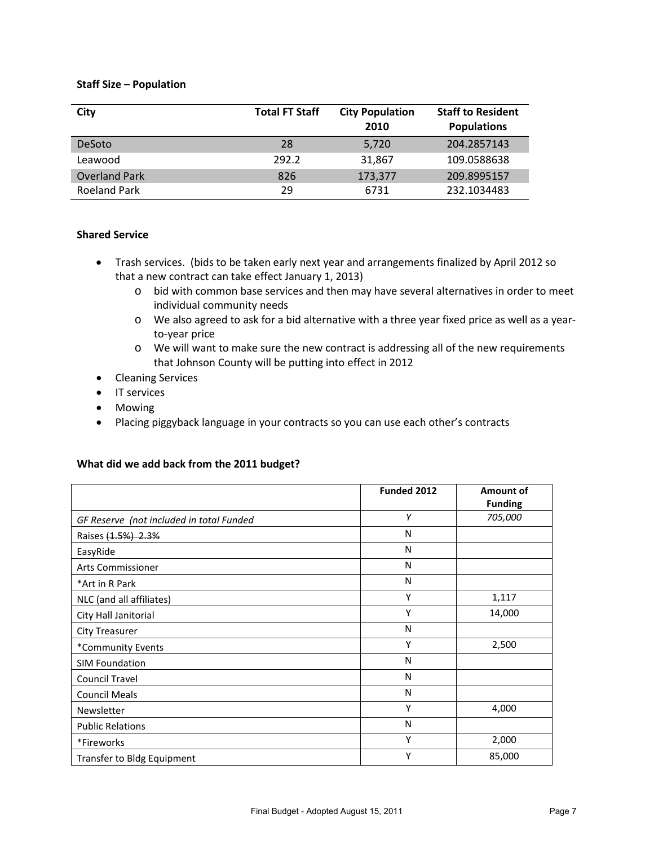#### **Staff Size – Population**

| City                 | <b>Total FT Staff</b> | <b>City Population</b><br>2010 | <b>Staff to Resident</b><br><b>Populations</b> |
|----------------------|-----------------------|--------------------------------|------------------------------------------------|
| <b>DeSoto</b>        | 28                    | 5,720                          | 204.2857143                                    |
| Leawood              | 292.2                 | 31,867                         | 109.0588638                                    |
| <b>Overland Park</b> | 826                   | 173,377                        | 209.8995157                                    |
| <b>Roeland Park</b>  | 29                    | 6731                           | 232.1034483                                    |

#### **Shared Service**

- Trash services. (bids to be taken early next year and arrangements finalized by April 2012 so that a new contract can take effect January 1, 2013)
	- o bid with common base services and then may have several alternatives in order to meet individual community needs
	- o We also agreed to ask for a bid alternative with a three year fixed price as well as a yearto-year price
	- o We will want to make sure the new contract is addressing all of the new requirements that Johnson County will be putting into effect in 2012
- Cleaning Services
- IT services
- Mowing
- Placing piggyback language in your contracts so you can use each other's contracts

#### **What did we add back from the 2011 budget?**

|                                          | Funded 2012 | Amount of<br><b>Funding</b> |
|------------------------------------------|-------------|-----------------------------|
| GF Reserve (not included in total Funded | Υ           | 705,000                     |
| Raises (1.5%) 2.3%                       | N           |                             |
| EasyRide                                 | N           |                             |
| <b>Arts Commissioner</b>                 | N           |                             |
| *Art in R Park                           | N           |                             |
| NLC (and all affiliates)                 | Y           | 1,117                       |
| City Hall Janitorial                     | Υ           | 14,000                      |
| City Treasurer                           | N           |                             |
| *Community Events                        | Υ           | 2,500                       |
| <b>SIM Foundation</b>                    | N           |                             |
| <b>Council Travel</b>                    | N           |                             |
| <b>Council Meals</b>                     | N           |                             |
| Newsletter                               | Υ           | 4,000                       |
| <b>Public Relations</b>                  | N           |                             |
| *Fireworks                               | Υ           | 2,000                       |
| Transfer to Bldg Equipment               | Υ           | 85,000                      |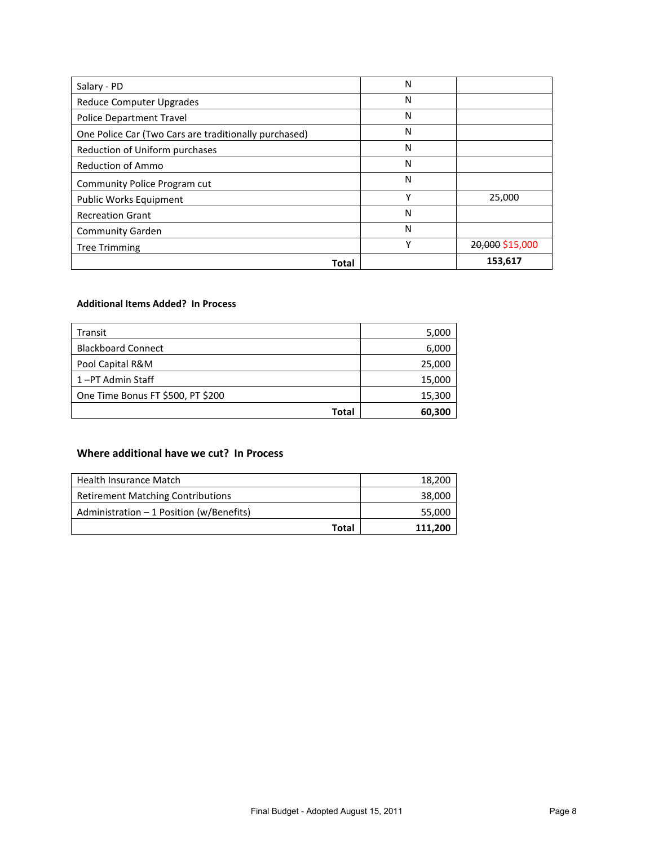| Salary - PD                                           | N |                 |
|-------------------------------------------------------|---|-----------------|
| Reduce Computer Upgrades                              | N |                 |
| <b>Police Department Travel</b>                       | N |                 |
| One Police Car (Two Cars are traditionally purchased) | N |                 |
| Reduction of Uniform purchases                        | N |                 |
| <b>Reduction of Ammo</b>                              | N |                 |
| Community Police Program cut                          | N |                 |
| Public Works Equipment                                | Υ | 25,000          |
| <b>Recreation Grant</b>                               | N |                 |
| <b>Community Garden</b>                               | N |                 |
| <b>Tree Trimming</b>                                  | Υ | 20,000 \$15,000 |
| Total                                                 |   | 153,617         |

#### **Additional Items Added? In Process**

| Transit                           | 5,000  |
|-----------------------------------|--------|
| <b>Blackboard Connect</b>         | 6,000  |
| Pool Capital R&M                  | 25,000 |
| 1-PT Admin Staff                  | 15,000 |
| One Time Bonus FT \$500, PT \$200 | 15,300 |
| Total                             | 60,300 |

#### **Where additional have we cut? In Process**

| Health Insurance Match                    | 18,200  |
|-------------------------------------------|---------|
| <b>Retirement Matching Contributions</b>  | 38,000  |
| Administration $-1$ Position (w/Benefits) | 55,000  |
| Total                                     | 111,200 |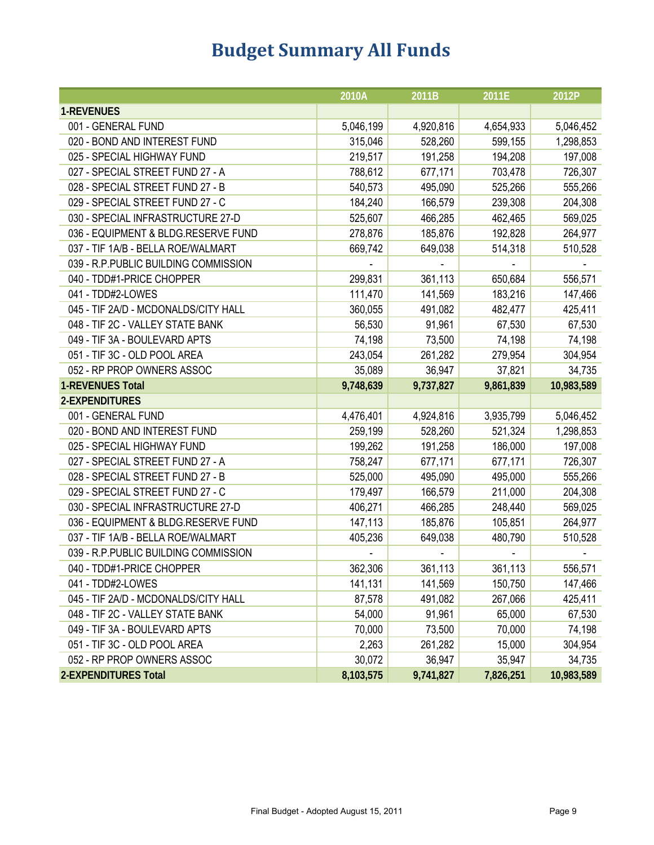# **Budget Summary All Funds**

|                                       | 2010A     | 2011B     | 2011E     | 2012P      |
|---------------------------------------|-----------|-----------|-----------|------------|
| 1-REVENUES                            |           |           |           |            |
| 001 - GENERAL FUND                    | 5,046,199 | 4,920,816 | 4,654,933 | 5,046,452  |
| 020 - BOND AND INTEREST FUND          | 315,046   | 528,260   | 599,155   | 1,298,853  |
| 025 - SPECIAL HIGHWAY FUND            | 219,517   | 191,258   | 194,208   | 197,008    |
| 027 - SPECIAL STREET FUND 27 - A      | 788,612   | 677,171   | 703,478   | 726,307    |
| 028 - SPECIAL STREET FUND 27 - B      | 540,573   | 495,090   | 525,266   | 555,266    |
| 029 - SPECIAL STREET FUND 27 - C      | 184,240   | 166,579   | 239,308   | 204,308    |
| 030 - SPECIAL INFRASTRUCTURE 27-D     | 525,607   | 466,285   | 462,465   | 569,025    |
| 036 - EQUIPMENT & BLDG.RESERVE FUND   | 278,876   | 185,876   | 192,828   | 264,977    |
| 037 - TIF 1A/B - BELLA ROE/WALMART    | 669,742   | 649,038   | 514,318   | 510,528    |
| 039 - R.P.PUBLIC BUILDING COMMISSION  |           |           |           |            |
| 040 - TDD#1-PRICE CHOPPER             | 299,831   | 361,113   | 650,684   | 556,571    |
| 041 - TDD#2-LOWES                     | 111,470   | 141,569   | 183,216   | 147,466    |
| 045 - TIF 2A/D - MCDONALDS/CITY HALL  | 360,055   | 491,082   | 482,477   | 425,411    |
| 048 - TIF 2C - VALLEY STATE BANK      | 56,530    | 91,961    | 67,530    | 67,530     |
| 049 - TIF 3A - BOULEVARD APTS         | 74,198    | 73,500    | 74,198    | 74,198     |
| 051 - TIF 3C - OLD POOL AREA          | 243,054   | 261,282   | 279,954   | 304,954    |
| 052 - RP PROP OWNERS ASSOC            | 35,089    | 36,947    | 37,821    | 34,735     |
| <b>1-REVENUES Total</b>               | 9,748,639 | 9,737,827 | 9,861,839 | 10,983,589 |
| 2-EXPENDITURES                        |           |           |           |            |
| 001 - GENERAL FUND                    | 4,476,401 | 4,924,816 | 3,935,799 | 5,046,452  |
| 020 - BOND AND INTEREST FUND          | 259,199   | 528,260   | 521,324   | 1,298,853  |
| 025 - SPECIAL HIGHWAY FUND            | 199,262   | 191,258   | 186,000   | 197,008    |
| 027 - SPECIAL STREET FUND 27 - A      | 758,247   | 677,171   | 677,171   | 726,307    |
| 028 - SPECIAL STREET FUND 27 - B      | 525,000   | 495,090   | 495,000   | 555,266    |
| 029 - SPECIAL STREET FUND 27 - C      | 179,497   | 166,579   | 211,000   | 204,308    |
| 030 - SPECIAL INFRASTRUCTURE 27-D     | 406,271   | 466,285   | 248,440   | 569,025    |
| 036 - EQUIPMENT & BLDG.RESERVE FUND   | 147,113   | 185,876   | 105,851   | 264,977    |
| 037 - TIF 1A/B - BELLA ROE/WALMART    | 405,236   | 649,038   | 480,790   | 510,528    |
| 039 - R.P. PUBLIC BUILDING COMMISSION |           |           |           |            |
| 040 - TDD#1-PRICE CHOPPER             | 362,306   | 361,113   | 361,113   | 556,571    |
| 041 - TDD#2-LOWES                     | 141,131   | 141,569   | 150,750   | 147,466    |
| 045 - TIF 2A/D - MCDONALDS/CITY HALL  | 87,578    | 491,082   | 267,066   | 425,411    |
| 048 - TIF 2C - VALLEY STATE BANK      | 54,000    | 91,961    | 65,000    | 67,530     |
| 049 - TIF 3A - BOULEVARD APTS         | 70,000    | 73,500    | 70,000    | 74,198     |
| 051 - TIF 3C - OLD POOL AREA          | 2,263     | 261,282   | 15,000    | 304,954    |
| 052 - RP PROP OWNERS ASSOC            | 30,072    | 36,947    | 35,947    | 34,735     |
| <b>2-EXPENDITURES Total</b>           | 8,103,575 | 9,741,827 | 7,826,251 | 10,983,589 |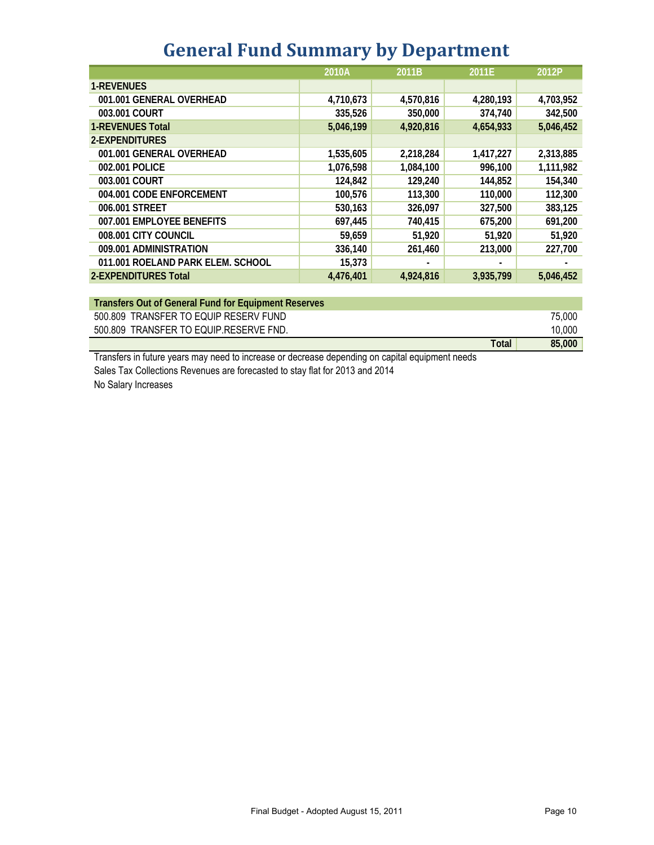|  | <b>General Fund Summary by Department</b> |  |  |
|--|-------------------------------------------|--|--|
|--|-------------------------------------------|--|--|

|                                   | 2010A     | 2011B     | 2011E     | 2012P     |
|-----------------------------------|-----------|-----------|-----------|-----------|
| <b>1-REVENUES</b>                 |           |           |           |           |
| 001.001 GENERAL OVERHEAD          | 4,710,673 | 4,570,816 | 4,280,193 | 4,703,952 |
| 003.001 COURT                     | 335,526   | 350,000   | 374,740   | 342,500   |
| <b>1-REVENUES Total</b>           | 5,046,199 | 4,920,816 | 4.654.933 | 5,046,452 |
| 2-EXPENDITURES                    |           |           |           |           |
| 001.001 GENERAL OVERHEAD          | 1,535,605 | 2,218,284 | 1,417,227 | 2,313,885 |
| 002.001 POLICE                    | 1,076,598 | 1,084,100 | 996,100   | 1,111,982 |
| 003.001 COURT                     | 124,842   | 129,240   | 144,852   | 154,340   |
| 004.001 CODE ENFORCEMENT          | 100,576   | 113,300   | 110,000   | 112,300   |
| 006.001 STREET                    | 530,163   | 326,097   | 327,500   | 383,125   |
| 007.001 EMPLOYEE BENEFITS         | 697,445   | 740,415   | 675,200   | 691,200   |
| 008.001 CITY COUNCIL              | 59,659    | 51,920    | 51,920    | 51,920    |
| 009.001 ADMINISTRATION            | 336,140   | 261,460   | 213,000   | 227.700   |
| 011.001 ROELAND PARK ELEM. SCHOOL | 15,373    |           |           |           |
| 2-EXPENDITURES Total              | 4,476,401 | 4,924,816 | 3,935,799 | 5,046,452 |

| Transfers Out of General Fund for Equipment Reserves |       |        |
|------------------------------------------------------|-------|--------|
| 500,809 TRANSFER TO EQUIP RESERV FUND                |       | 75,000 |
| 500.809 TRANSFER TO EQUIP.RESERVE FND.               |       | 10.000 |
|                                                      | Total | 85,000 |

Transfers in future years may need to increase or decrease depending on capital equipment needs Sales Tax Collections Revenues are forecasted to stay flat for 2013 and 2014 No Salary Increases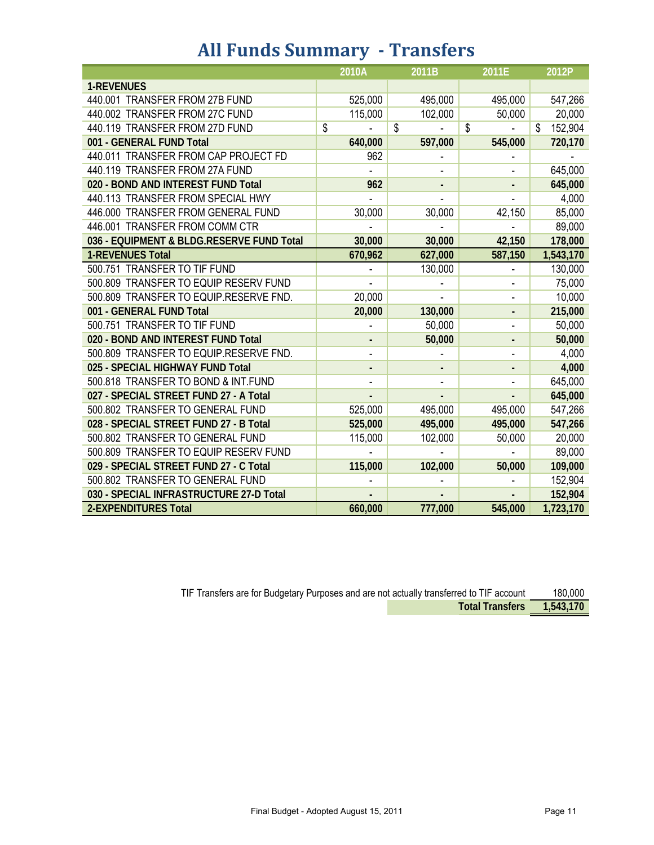## **All Funds Summary - Transfers**

|                                           | 2010A   | 2011B   | 2011E                        | 2012P         |
|-------------------------------------------|---------|---------|------------------------------|---------------|
| <b>1-REVENUES</b>                         |         |         |                              |               |
| 440.001 TRANSFER FROM 27B FUND            | 525,000 | 495,000 | 495,000                      | 547,266       |
| 440.002 TRANSFER FROM 27C FUND            | 115,000 | 102,000 | 50,000                       | 20,000        |
| 440.119 TRANSFER FROM 27D FUND            | \$      | \$      | \$                           | \$<br>152,904 |
| 001 - GENERAL FUND Total                  | 640,000 | 597,000 | 545,000                      | 720,170       |
| 440.011 TRANSFER FROM CAP PROJECT FD      | 962     |         |                              |               |
| 440.119 TRANSFER FROM 27A FUND            |         |         |                              | 645,000       |
| 020 - BOND AND INTEREST FUND Total        | 962     |         |                              | 645,000       |
| 440.113 TRANSFER FROM SPECIAL HWY         |         |         |                              | 4,000         |
| 446.000 TRANSFER FROM GENERAL FUND        | 30,000  | 30,000  | 42,150                       | 85,000        |
| 446.001 TRANSFER FROM COMM CTR            |         |         |                              | 89,000        |
| 036 - EQUIPMENT & BLDG.RESERVE FUND Total | 30,000  | 30,000  | 42,150                       | 178,000       |
| <b>1-REVENUES Total</b>                   | 670,962 | 627,000 | 587,150                      | 1,543,170     |
| 500.751 TRANSFER TO TIF FUND              |         | 130,000 |                              | 130,000       |
| 500.809 TRANSFER TO EQUIP RESERV FUND     |         |         |                              | 75,000        |
| 500.809 TRANSFER TO EQUIP.RESERVE FND.    | 20,000  |         | $\qquad \qquad \blacksquare$ | 10,000        |
| 001 - GENERAL FUND Total                  | 20,000  | 130,000 |                              | 215,000       |
| 500.751 TRANSFER TO TIF FUND              |         | 50,000  |                              | 50,000        |
| 020 - BOND AND INTEREST FUND Total        |         | 50,000  | -                            | 50,000        |
| 500.809 TRANSFER TO EQUIP.RESERVE FND.    |         |         |                              | 4,000         |
| 025 - SPECIAL HIGHWAY FUND Total          |         |         |                              | 4,000         |
| 500.818 TRANSFER TO BOND & INT.FUND       |         |         |                              | 645,000       |
| 027 - SPECIAL STREET FUND 27 - A Total    |         |         |                              | 645,000       |
| 500.802 TRANSFER TO GENERAL FUND          | 525,000 | 495,000 | 495,000                      | 547,266       |
| 028 - SPECIAL STREET FUND 27 - B Total    | 525,000 | 495,000 | 495,000                      | 547,266       |
| 500.802 TRANSFER TO GENERAL FUND          | 115,000 | 102,000 | 50,000                       | 20,000        |
| 500.809 TRANSFER TO EQUIP RESERV FUND     |         |         |                              | 89,000        |
| 029 - SPECIAL STREET FUND 27 - C Total    | 115,000 | 102,000 | 50,000                       | 109,000       |
| 500.802 TRANSFER TO GENERAL FUND          |         |         |                              | 152,904       |
| 030 - SPECIAL INFRASTRUCTURE 27-D Total   |         |         |                              | 152,904       |
| <b>2-EXPENDITURES Total</b>               | 660,000 | 777,000 | 545,000                      | 1,723,170     |

| TIF Transfers are for Budgetary Purposes and are not actually transferred to TIF account |                           |  |  |  |  |
|------------------------------------------------------------------------------------------|---------------------------|--|--|--|--|
|                                                                                          | Total Transfers 1,543,170 |  |  |  |  |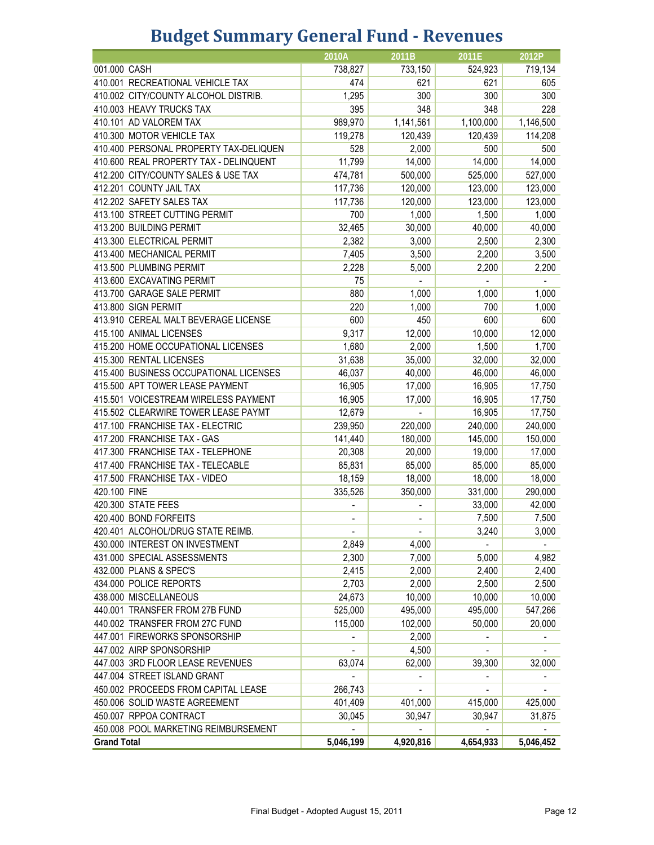## **Budget Summary General Fund - Revenues**

|                                        | 2010A                    | 2011B                    | 2011E                    | 2012P                    |
|----------------------------------------|--------------------------|--------------------------|--------------------------|--------------------------|
| 001.000 CASH                           | 738,827                  | 733,150                  | 524,923                  | 719,134                  |
| 410.001 RECREATIONAL VEHICLE TAX       | 474                      | 621                      | 621                      | 605                      |
| 410.002 CITY/COUNTY ALCOHOL DISTRIB.   | 1,295                    | 300                      | 300                      | 300                      |
| 410.003 HEAVY TRUCKS TAX               | 395                      | 348                      | 348                      | 228                      |
| 410.101 AD VALOREM TAX                 | 989,970                  | 1,141,561                | 1,100,000                | 1,146,500                |
| 410.300 MOTOR VEHICLE TAX              | 119,278                  | 120,439                  | 120,439                  | 114,208                  |
| 410.400 PERSONAL PROPERTY TAX-DELIQUEN | 528                      | 2,000                    | 500                      | 500                      |
| 410.600 REAL PROPERTY TAX - DELINQUENT | 11,799                   | 14,000                   | 14,000                   | 14,000                   |
| 412.200 CITY/COUNTY SALES & USE TAX    | 474,781                  | 500,000                  | 525,000                  | 527,000                  |
| 412.201 COUNTY JAIL TAX                | 117,736                  | 120,000                  | 123,000                  | 123,000                  |
| 412.202 SAFETY SALES TAX               | 117,736                  | 120,000                  | 123,000                  | 123,000                  |
| 413.100 STREET CUTTING PERMIT          | 700                      | 1,000                    | 1,500                    | 1,000                    |
| 413.200 BUILDING PERMIT                | 32,465                   | 30,000                   | 40,000                   | 40,000                   |
| 413.300 ELECTRICAL PERMIT              | 2,382                    | 3,000                    | 2,500                    | 2,300                    |
| 413.400 MECHANICAL PERMIT              | 7,405                    | 3,500                    | 2,200                    | 3,500                    |
| 413.500 PLUMBING PERMIT                | 2,228                    | 5,000                    | 2,200                    | 2,200                    |
| 413.600 EXCAVATING PERMIT              | 75                       |                          |                          |                          |
| 413.700 GARAGE SALE PERMIT             | 880                      | 1,000                    | 1,000                    | 1,000                    |
| 413.800 SIGN PERMIT                    | 220                      | 1,000                    | 700                      | 1,000                    |
| 413.910 CEREAL MALT BEVERAGE LICENSE   | 600                      | 450                      | 600                      | 600                      |
| 415.100 ANIMAL LICENSES                | 9,317                    | 12,000                   | 10,000                   | 12,000                   |
| 415.200 HOME OCCUPATIONAL LICENSES     | 1,680                    | 2,000                    | 1,500                    | 1,700                    |
| 415.300 RENTAL LICENSES                | 31,638                   | 35,000                   | 32,000                   | 32,000                   |
| 415.400 BUSINESS OCCUPATIONAL LICENSES | 46,037                   | 40,000                   | 46,000                   | 46,000                   |
| 415.500 APT TOWER LEASE PAYMENT        | 16,905                   | 17,000                   | 16,905                   | 17,750                   |
| 415.501 VOICESTREAM WIRELESS PAYMENT   | 16,905                   | 17,000                   | 16,905                   | 17,750                   |
| 415.502 CLEARWIRE TOWER LEASE PAYMT    | 12,679                   |                          | 16,905                   | 17,750                   |
| 417.100 FRANCHISE TAX - ELECTRIC       | 239,950                  | 220,000                  | 240,000                  | 240,000                  |
| 417.200 FRANCHISE TAX - GAS            | 141,440                  | 180,000                  | 145,000                  | 150,000                  |
| 417.300 FRANCHISE TAX - TELEPHONE      | 20,308                   | 20,000                   | 19,000                   | 17,000                   |
| 417.400 FRANCHISE TAX - TELECABLE      | 85,831                   | 85,000                   | 85,000                   | 85,000                   |
| 417.500 FRANCHISE TAX - VIDEO          | 18,159                   | 18,000                   | 18,000                   | 18,000                   |
| 420.100 FINE                           | 335,526                  | 350,000                  | 331,000                  | 290,000                  |
| 420.300 STATE FEES                     |                          |                          | 33,000                   | 42,000                   |
| 420.400 BOND FORFEITS                  | $\overline{\phantom{a}}$ | $\overline{\phantom{a}}$ | 7,500                    | 7,500                    |
| 420.401 ALCOHOL/DRUG STATE REIMB.      | $\overline{\phantom{a}}$ | $\overline{\phantom{a}}$ | 3,240                    | 3,000                    |
| 430.000 INTEREST ON INVESTMENT         | 2,849                    | 4,000                    |                          |                          |
| 431.000 SPECIAL ASSESSMENTS            | 2,300                    | 7,000                    | 5,000                    | 4,982                    |
| 432.000 PLANS & SPEC'S                 | 2,415                    | 2,000                    | 2,400                    | 2,400                    |
| 434.000 POLICE REPORTS                 | 2,703                    | 2,000                    | 2,500                    | 2,500                    |
| 438.000 MISCELLANEOUS                  | 24,673                   | 10,000                   | 10,000                   | 10,000                   |
|                                        | 525,000                  |                          |                          |                          |
| 440.001 TRANSFER FROM 27B FUND         |                          | 495,000                  | 495,000                  | 547,266                  |
| 440.002 TRANSFER FROM 27C FUND         | 115,000                  | 102,000                  | 50,000                   | 20,000                   |
| 447.001 FIREWORKS SPONSORSHIP          |                          | 2,000                    | $\overline{\phantom{0}}$ | $\overline{\phantom{a}}$ |
| 447.002 AIRP SPONSORSHIP               |                          | 4,500                    | $\overline{\phantom{0}}$ |                          |
| 447.003 3RD FLOOR LEASE REVENUES       | 63,074                   | 62,000                   | 39,300                   | 32,000                   |
| 447.004 STREET ISLAND GRANT            |                          |                          | -                        | $\overline{\phantom{a}}$ |
| 450.002 PROCEEDS FROM CAPITAL LEASE    | 266,743                  |                          |                          |                          |
| 450.006 SOLID WASTE AGREEMENT          | 401,409                  | 401,000                  | 415,000                  | 425,000                  |
| 450.007 RPPOA CONTRACT                 | 30,045                   | 30,947                   | 30,947                   | 31,875                   |
| 450.008 POOL MARKETING REIMBURSEMENT   |                          |                          |                          |                          |
| <b>Grand Total</b>                     | 5,046,199                | 4,920,816                | 4,654,933                | 5,046,452                |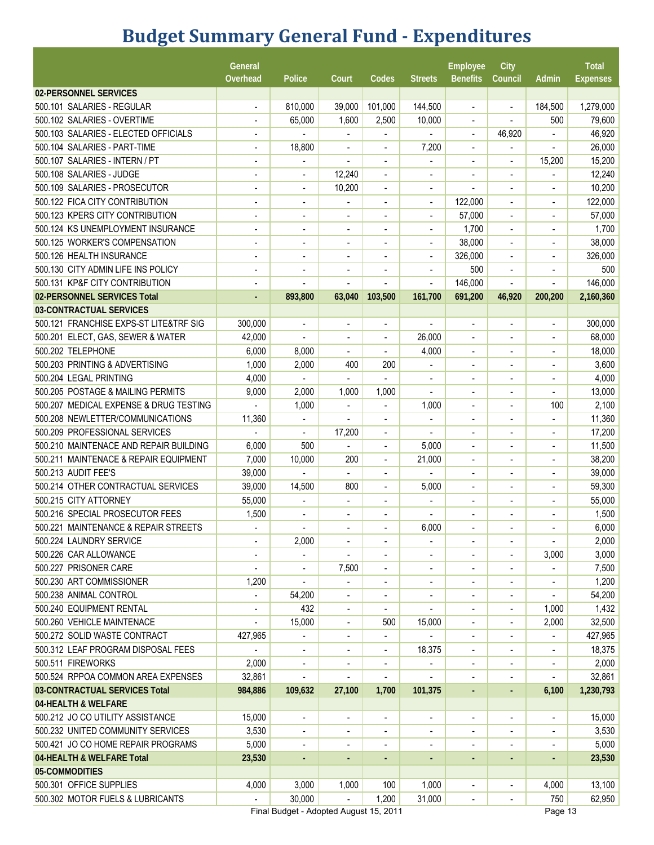# **Budget Summary General Fund - Expenditures**

|                                        | General<br>Overhead      | Police                   | Court                                                                                                                                                                                                                                                                                                                                                                                                                                                                      | Codes                                                                                                                                                                                                                                                                                                                                                                                                                                                                      | <b>Streets</b>           | <b>Employee</b><br><b>Benefits</b> | City<br>Council              | Admin                        | <b>Total</b><br><b>Expenses</b> |
|----------------------------------------|--------------------------|--------------------------|----------------------------------------------------------------------------------------------------------------------------------------------------------------------------------------------------------------------------------------------------------------------------------------------------------------------------------------------------------------------------------------------------------------------------------------------------------------------------|----------------------------------------------------------------------------------------------------------------------------------------------------------------------------------------------------------------------------------------------------------------------------------------------------------------------------------------------------------------------------------------------------------------------------------------------------------------------------|--------------------------|------------------------------------|------------------------------|------------------------------|---------------------------------|
| 02-PERSONNEL SERVICES                  |                          |                          |                                                                                                                                                                                                                                                                                                                                                                                                                                                                            |                                                                                                                                                                                                                                                                                                                                                                                                                                                                            |                          |                                    |                              |                              |                                 |
| 500.101 SALARIES - REGULAR             | $\blacksquare$           | 810,000                  | 39,000                                                                                                                                                                                                                                                                                                                                                                                                                                                                     | 101,000                                                                                                                                                                                                                                                                                                                                                                                                                                                                    | 144,500                  | $\blacksquare$                     | $\blacksquare$               | 184,500                      | 1,279,000                       |
| 500.102 SALARIES - OVERTIME            |                          | 65,000                   | 1,600                                                                                                                                                                                                                                                                                                                                                                                                                                                                      | 2,500                                                                                                                                                                                                                                                                                                                                                                                                                                                                      | 10,000                   | ÷                                  | $\blacksquare$               | 500                          | 79,600                          |
| 500.103 SALARIES - ELECTED OFFICIALS   |                          |                          |                                                                                                                                                                                                                                                                                                                                                                                                                                                                            |                                                                                                                                                                                                                                                                                                                                                                                                                                                                            |                          |                                    | 46,920                       |                              | 46,920                          |
| 500.104 SALARIES - PART-TIME           | $\overline{a}$           | 18,800                   | $\overline{\phantom{a}}$                                                                                                                                                                                                                                                                                                                                                                                                                                                   | $\qquad \qquad \blacksquare$                                                                                                                                                                                                                                                                                                                                                                                                                                               | 7,200                    | $\overline{\phantom{a}}$           |                              | $\overline{a}$               | 26,000                          |
| 500.107 SALARIES - INTERN / PT         | $\blacksquare$           | $\blacksquare$           | $\overline{\phantom{a}}$                                                                                                                                                                                                                                                                                                                                                                                                                                                   | $\overline{\phantom{a}}$                                                                                                                                                                                                                                                                                                                                                                                                                                                   |                          | $\overline{\phantom{a}}$           | $\blacksquare$               | 15,200                       | 15,200                          |
| 500.108 SALARIES - JUDGE               | $\blacksquare$           | $\overline{\phantom{a}}$ | 12,240                                                                                                                                                                                                                                                                                                                                                                                                                                                                     | $\overline{\phantom{a}}$                                                                                                                                                                                                                                                                                                                                                                                                                                                   | $\blacksquare$           | $\blacksquare$                     | $\blacksquare$               | $\overline{a}$               | 12,240                          |
| 500.109 SALARIES - PROSECUTOR          | $\blacksquare$           | $\overline{\phantom{a}}$ | 10,200                                                                                                                                                                                                                                                                                                                                                                                                                                                                     | $\blacksquare$                                                                                                                                                                                                                                                                                                                                                                                                                                                             |                          |                                    |                              |                              | 10,200                          |
| 500.122 FICA CITY CONTRIBUTION         |                          | $\overline{\phantom{a}}$ |                                                                                                                                                                                                                                                                                                                                                                                                                                                                            | $\overline{\phantom{a}}$                                                                                                                                                                                                                                                                                                                                                                                                                                                   |                          | 122,000                            |                              | $\overline{a}$               | 122,000                         |
| 500.123 KPERS CITY CONTRIBUTION        | $\blacksquare$           | $\blacksquare$           | $\blacksquare$                                                                                                                                                                                                                                                                                                                                                                                                                                                             | $\overline{a}$                                                                                                                                                                                                                                                                                                                                                                                                                                                             |                          | 57,000                             | $\blacksquare$               | $\blacksquare$               | 57,000                          |
| 500.124 KS UNEMPLOYMENT INSURANCE      | L,                       |                          |                                                                                                                                                                                                                                                                                                                                                                                                                                                                            | ٠                                                                                                                                                                                                                                                                                                                                                                                                                                                                          |                          | 1,700                              | ÷                            |                              | 1,700                           |
| 500.125 WORKER'S COMPENSATION          |                          | $\overline{\phantom{a}}$ |                                                                                                                                                                                                                                                                                                                                                                                                                                                                            | ÷,                                                                                                                                                                                                                                                                                                                                                                                                                                                                         |                          | 38,000                             |                              |                              | 38,000                          |
| 500.126 HEALTH INSURANCE               |                          |                          | $\overline{\phantom{a}}$                                                                                                                                                                                                                                                                                                                                                                                                                                                   | $\overline{\phantom{a}}$                                                                                                                                                                                                                                                                                                                                                                                                                                                   |                          | 326,000                            | $\overline{\phantom{a}}$     | $\overline{\phantom{a}}$     | 326,000                         |
| 500.130 CITY ADMIN LIFE INS POLICY     | $\blacksquare$           | $\overline{\phantom{a}}$ | $\overline{a}$                                                                                                                                                                                                                                                                                                                                                                                                                                                             | $\blacksquare$                                                                                                                                                                                                                                                                                                                                                                                                                                                             | $\blacksquare$           | 500                                | $\overline{\phantom{a}}$     | $\overline{\phantom{a}}$     | 500                             |
| 500.131 KP&F CITY CONTRIBUTION         | $\overline{a}$           |                          |                                                                                                                                                                                                                                                                                                                                                                                                                                                                            |                                                                                                                                                                                                                                                                                                                                                                                                                                                                            |                          | 146,000                            | $\blacksquare$               |                              | 146,000                         |
| 02-PERSONNEL SERVICES Total            |                          | 893,800                  | 63,040                                                                                                                                                                                                                                                                                                                                                                                                                                                                     | 103,500                                                                                                                                                                                                                                                                                                                                                                                                                                                                    | 161,700                  | 691,200                            | 46,920                       | 200,200                      | 2,160,360                       |
| 03-CONTRACTUAL SERVICES                |                          |                          |                                                                                                                                                                                                                                                                                                                                                                                                                                                                            |                                                                                                                                                                                                                                                                                                                                                                                                                                                                            |                          |                                    |                              |                              |                                 |
| 500.121 FRANCHISE EXPS-ST LITE&TRF SIG | 300,000                  |                          | $\overline{\phantom{a}}$                                                                                                                                                                                                                                                                                                                                                                                                                                                   | ۰                                                                                                                                                                                                                                                                                                                                                                                                                                                                          |                          | $\overline{\phantom{a}}$           | $\blacksquare$               | $\overline{\phantom{a}}$     | 300,000                         |
| 500.201 ELECT, GAS, SEWER & WATER      | 42,000                   |                          | $\overline{\phantom{a}}$                                                                                                                                                                                                                                                                                                                                                                                                                                                   | $\blacksquare$                                                                                                                                                                                                                                                                                                                                                                                                                                                             | 26,000                   | $\overline{\phantom{a}}$           | $\overline{\phantom{a}}$     | ٠                            | 68,000                          |
| 500.202 TELEPHONE                      | 6,000                    | 8,000                    |                                                                                                                                                                                                                                                                                                                                                                                                                                                                            | $\blacksquare$                                                                                                                                                                                                                                                                                                                                                                                                                                                             | 4,000                    | $\blacksquare$                     |                              | $\blacksquare$               | 18,000                          |
| 500.203 PRINTING & ADVERTISING         | 1,000                    | 2,000                    | 400                                                                                                                                                                                                                                                                                                                                                                                                                                                                        | 200                                                                                                                                                                                                                                                                                                                                                                                                                                                                        |                          | ۰                                  |                              | $\qquad \qquad \blacksquare$ | 3,600                           |
| 500.204 LEGAL PRINTING                 | 4,000                    |                          | $\overline{\phantom{0}}$                                                                                                                                                                                                                                                                                                                                                                                                                                                   | $\overline{a}$                                                                                                                                                                                                                                                                                                                                                                                                                                                             | $\overline{\phantom{a}}$ | ۰                                  | $\overline{\phantom{a}}$     | $\overline{\phantom{a}}$     | 4,000                           |
| 500.205 POSTAGE & MAILING PERMITS      | 9,000                    | 2,000                    | 1,000                                                                                                                                                                                                                                                                                                                                                                                                                                                                      | 1,000                                                                                                                                                                                                                                                                                                                                                                                                                                                                      | $\overline{\phantom{a}}$ | ۰                                  | $\overline{\phantom{a}}$     | $\overline{\phantom{a}}$     | 13,000                          |
| 500.207 MEDICAL EXPENSE & DRUG TESTING |                          | 1,000                    | ÷.                                                                                                                                                                                                                                                                                                                                                                                                                                                                         | ÷.                                                                                                                                                                                                                                                                                                                                                                                                                                                                         | 1,000                    | ٠                                  | $\blacksquare$               | 100                          | 2,100                           |
| 500.208 NEWLETTER/COMMUNICATIONS       | 11,360                   |                          |                                                                                                                                                                                                                                                                                                                                                                                                                                                                            | ÷.                                                                                                                                                                                                                                                                                                                                                                                                                                                                         |                          | ٠                                  | $\overline{a}$               |                              | 11,360                          |
| 500.209 PROFESSIONAL SERVICES          |                          |                          | 17,200                                                                                                                                                                                                                                                                                                                                                                                                                                                                     |                                                                                                                                                                                                                                                                                                                                                                                                                                                                            |                          |                                    |                              |                              | 17,200                          |
| 500.210 MAINTENACE AND REPAIR BUILDING | 6,000                    | 500                      |                                                                                                                                                                                                                                                                                                                                                                                                                                                                            | $\overline{\phantom{0}}$                                                                                                                                                                                                                                                                                                                                                                                                                                                   | 5,000                    | ۰                                  | $\blacksquare$               | $\blacksquare$               | 11,500                          |
| 500.211 MAINTENACE & REPAIR EQUIPMENT  | 7,000                    | 10,000                   | 200                                                                                                                                                                                                                                                                                                                                                                                                                                                                        | $\overline{\phantom{a}}$                                                                                                                                                                                                                                                                                                                                                                                                                                                   | 21,000                   |                                    |                              |                              | 38,200                          |
| 500.213 AUDIT FEE'S                    | 39,000                   |                          |                                                                                                                                                                                                                                                                                                                                                                                                                                                                            | $\qquad \qquad \blacksquare$                                                                                                                                                                                                                                                                                                                                                                                                                                               |                          |                                    |                              | $\overline{a}$               | 39,000                          |
| 500.214 OTHER CONTRACTUAL SERVICES     | 39,000                   | 14,500                   | 800                                                                                                                                                                                                                                                                                                                                                                                                                                                                        | $\qquad \qquad \blacksquare$                                                                                                                                                                                                                                                                                                                                                                                                                                               | 5,000                    |                                    |                              |                              | 59,300                          |
| 500.215 CITY ATTORNEY                  | 55,000                   | $\overline{a}$           | $\overline{\phantom{a}}$                                                                                                                                                                                                                                                                                                                                                                                                                                                   | $\blacksquare$                                                                                                                                                                                                                                                                                                                                                                                                                                                             |                          | $\blacksquare$                     | $\blacksquare$               | $\blacksquare$               | 55,000                          |
| 500.216 SPECIAL PROSECUTOR FEES        | 1,500                    | $\overline{\phantom{a}}$ | $\overline{\phantom{a}}$                                                                                                                                                                                                                                                                                                                                                                                                                                                   | $\blacksquare$                                                                                                                                                                                                                                                                                                                                                                                                                                                             | $\blacksquare$           | ٠                                  | $\blacksquare$               | $\blacksquare$               | 1,500                           |
| 500.221 MAINTENANCE & REPAIR STREETS   | $\overline{\phantom{a}}$ | $\overline{a}$           |                                                                                                                                                                                                                                                                                                                                                                                                                                                                            |                                                                                                                                                                                                                                                                                                                                                                                                                                                                            | 6,000                    |                                    |                              |                              | 6,000                           |
| 500.224 LAUNDRY SERVICE                |                          | 2,000                    | $\overline{\phantom{a}}$                                                                                                                                                                                                                                                                                                                                                                                                                                                   |                                                                                                                                                                                                                                                                                                                                                                                                                                                                            |                          |                                    |                              | $\overline{a}$               | 2,000                           |
| 500.226 CAR ALLOWANCE                  |                          |                          |                                                                                                                                                                                                                                                                                                                                                                                                                                                                            |                                                                                                                                                                                                                                                                                                                                                                                                                                                                            |                          | -                                  |                              | 3,000                        | 3,000                           |
| 500.227 PRISONER CARE                  |                          | $\overline{\phantom{a}}$ | 7,500                                                                                                                                                                                                                                                                                                                                                                                                                                                                      | $\overline{\phantom{a}}$                                                                                                                                                                                                                                                                                                                                                                                                                                                   |                          | -                                  | $\overline{\phantom{a}}$     |                              | 7,500                           |
| 500.230 ART COMMISSIONER               | 1,200                    | $\overline{\phantom{a}}$ |                                                                                                                                                                                                                                                                                                                                                                                                                                                                            | $\qquad \qquad \blacksquare$                                                                                                                                                                                                                                                                                                                                                                                                                                               | $\overline{\phantom{a}}$ | $\overline{\phantom{0}}$           |                              |                              | 1,200                           |
| 500.238 ANIMAL CONTROL                 | $\overline{a}$           | 54,200                   | $\overline{\phantom{a}}$                                                                                                                                                                                                                                                                                                                                                                                                                                                   | $\overline{\phantom{a}}$                                                                                                                                                                                                                                                                                                                                                                                                                                                   | $\overline{\phantom{a}}$ | $\overline{\phantom{0}}$           | $\overline{\phantom{a}}$     | $\blacksquare$               | 54,200                          |
| 500.240 EQUIPMENT RENTAL               | $\overline{\phantom{a}}$ | 432                      | $\overline{\phantom{a}}$                                                                                                                                                                                                                                                                                                                                                                                                                                                   | $\blacksquare$                                                                                                                                                                                                                                                                                                                                                                                                                                                             | $\overline{\phantom{a}}$ | $\blacksquare$                     | $\overline{\phantom{a}}$     | 1,000                        | 1,432                           |
| 500.260 VEHICLE MAINTENACE             | $\overline{a}$           | 15,000                   | $\overline{\phantom{a}}$                                                                                                                                                                                                                                                                                                                                                                                                                                                   | 500                                                                                                                                                                                                                                                                                                                                                                                                                                                                        | 15,000                   | $\overline{\phantom{0}}$           | $\overline{\phantom{a}}$     | 2,000                        | 32,500                          |
| 500.272 SOLID WASTE CONTRACT           | 427,965                  |                          | ۰                                                                                                                                                                                                                                                                                                                                                                                                                                                                          |                                                                                                                                                                                                                                                                                                                                                                                                                                                                            |                          |                                    |                              | $\blacksquare$               | 427,965                         |
| 500.312 LEAF PROGRAM DISPOSAL FEES     |                          |                          | $\overline{\phantom{a}}$                                                                                                                                                                                                                                                                                                                                                                                                                                                   |                                                                                                                                                                                                                                                                                                                                                                                                                                                                            | 18,375                   | $\overline{\phantom{a}}$           |                              |                              | 18,375                          |
| 500.511 FIREWORKS                      | 2,000                    | $\overline{\phantom{a}}$ | $\overline{\phantom{a}}$                                                                                                                                                                                                                                                                                                                                                                                                                                                   | $\overline{\phantom{a}}$                                                                                                                                                                                                                                                                                                                                                                                                                                                   |                          | $\overline{\phantom{a}}$           | $\blacksquare$               | $\blacksquare$               | 2,000                           |
| 500.524 RPPOA COMMON AREA EXPENSES     | 32,861                   | $\overline{\phantom{a}}$ | ÷                                                                                                                                                                                                                                                                                                                                                                                                                                                                          | $\overline{\phantom{a}}$                                                                                                                                                                                                                                                                                                                                                                                                                                                   |                          | $\overline{\phantom{0}}$           | $\overline{a}$               | $\overline{\phantom{a}}$     | 32,861                          |
| 03-CONTRACTUAL SERVICES Total          | 984,886                  | 109,632                  | 27,100                                                                                                                                                                                                                                                                                                                                                                                                                                                                     | 1,700                                                                                                                                                                                                                                                                                                                                                                                                                                                                      | 101,375                  | $\blacksquare$                     | ٠                            | 6,100                        | 1,230,793                       |
| 04-HEALTH & WELFARE                    |                          |                          |                                                                                                                                                                                                                                                                                                                                                                                                                                                                            |                                                                                                                                                                                                                                                                                                                                                                                                                                                                            |                          |                                    |                              |                              |                                 |
| 500.212 JO CO UTILITY ASSISTANCE       | 15,000                   | $\blacksquare$           | $\blacksquare$                                                                                                                                                                                                                                                                                                                                                                                                                                                             | $\frac{1}{2}$                                                                                                                                                                                                                                                                                                                                                                                                                                                              | $\blacksquare$           | $\blacksquare$                     | $\blacksquare$               | $\blacksquare$               | 15,000                          |
| 500.232 UNITED COMMUNITY SERVICES      | 3,530                    | $\overline{\phantom{a}}$ | $\overline{\phantom{a}}$                                                                                                                                                                                                                                                                                                                                                                                                                                                   | $\overline{\phantom{0}}$                                                                                                                                                                                                                                                                                                                                                                                                                                                   | $\overline{\phantom{a}}$ | $\blacksquare$                     | $\overline{\phantom{a}}$     | $\overline{\phantom{a}}$     | 3,530                           |
| 500.421 JO CO HOME REPAIR PROGRAMS     | 5,000                    | $\overline{a}$           | $\overline{\phantom{0}}$                                                                                                                                                                                                                                                                                                                                                                                                                                                   | ÷                                                                                                                                                                                                                                                                                                                                                                                                                                                                          |                          | $\overline{\phantom{0}}$           | $\blacksquare$               | $\overline{\phantom{a}}$     | 5,000                           |
| 04-HEALTH & WELFARE Total              | 23,530                   | ÷                        | $\frac{1}{2} \left( \frac{1}{2} \right) \left( \frac{1}{2} \right) \left( \frac{1}{2} \right) \left( \frac{1}{2} \right) \left( \frac{1}{2} \right) \left( \frac{1}{2} \right) \left( \frac{1}{2} \right) \left( \frac{1}{2} \right) \left( \frac{1}{2} \right) \left( \frac{1}{2} \right) \left( \frac{1}{2} \right) \left( \frac{1}{2} \right) \left( \frac{1}{2} \right) \left( \frac{1}{2} \right) \left( \frac{1}{2} \right) \left( \frac{1}{2} \right) \left( \frac$ | $\frac{1}{2} \left( \frac{1}{2} \right) \left( \frac{1}{2} \right) \left( \frac{1}{2} \right) \left( \frac{1}{2} \right) \left( \frac{1}{2} \right) \left( \frac{1}{2} \right) \left( \frac{1}{2} \right) \left( \frac{1}{2} \right) \left( \frac{1}{2} \right) \left( \frac{1}{2} \right) \left( \frac{1}{2} \right) \left( \frac{1}{2} \right) \left( \frac{1}{2} \right) \left( \frac{1}{2} \right) \left( \frac{1}{2} \right) \left( \frac{1}{2} \right) \left( \frac$ | $\blacksquare$           | $\blacksquare$                     | $\blacksquare$               | $\blacksquare$               | 23,530                          |
| 05-COMMODITIES                         |                          |                          |                                                                                                                                                                                                                                                                                                                                                                                                                                                                            |                                                                                                                                                                                                                                                                                                                                                                                                                                                                            |                          |                                    |                              |                              |                                 |
| 500.301 OFFICE SUPPLIES                | 4,000                    | 3,000                    | 1,000                                                                                                                                                                                                                                                                                                                                                                                                                                                                      | 100                                                                                                                                                                                                                                                                                                                                                                                                                                                                        | 1,000                    | $\blacksquare$                     | $\qquad \qquad \blacksquare$ | 4,000                        | 13,100                          |
| 500.302 MOTOR FUELS & LUBRICANTS       | $\overline{\phantom{a}}$ | 30,000                   | $\blacksquare$                                                                                                                                                                                                                                                                                                                                                                                                                                                             | 1,200                                                                                                                                                                                                                                                                                                                                                                                                                                                                      | 31,000                   | $\blacksquare$                     |                              | 750                          | 62,950                          |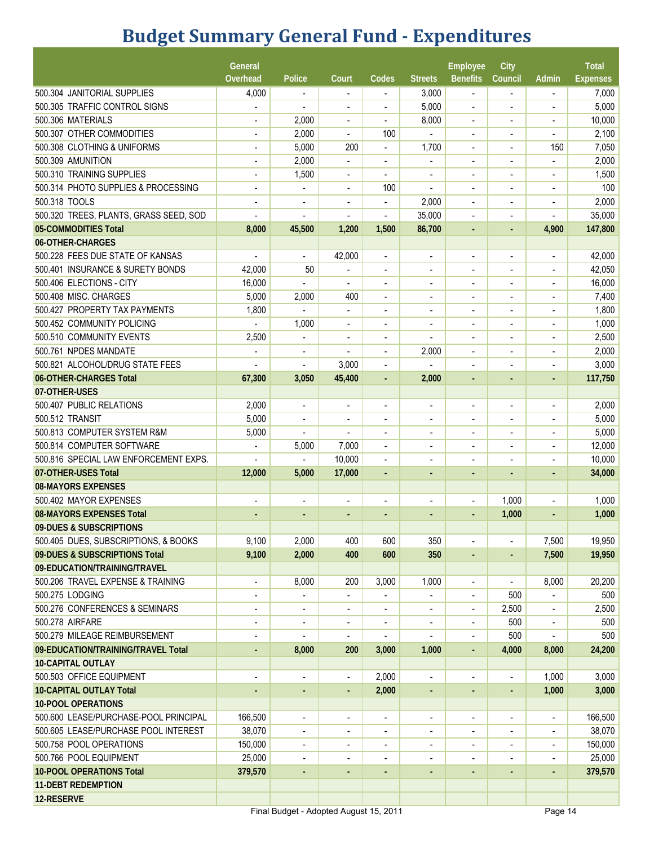# **Budget Summary General Fund - Expenditures**

|                                        | General                  |                          |                          |                          |                              | Employee                 | City                     |                          | <b>Total</b>    |
|----------------------------------------|--------------------------|--------------------------|--------------------------|--------------------------|------------------------------|--------------------------|--------------------------|--------------------------|-----------------|
|                                        | Overhead                 | Police                   | Court                    | Codes                    | <b>Streets</b>               | <b>Benefits</b>          | Council                  | Admin                    | <b>Expenses</b> |
| 500.304 JANITORIAL SUPPLIES            | 4,000                    |                          | $\overline{\phantom{a}}$ | $\overline{\phantom{a}}$ | 3,000                        | $\blacksquare$           |                          |                          | 7,000           |
| 500.305 TRAFFIC CONTROL SIGNS          |                          |                          | $\blacksquare$           | $\blacksquare$           | 5,000                        | $\blacksquare$           | $\blacksquare$           | $\blacksquare$           | 5,000           |
| 500.306 MATERIALS                      | $\overline{a}$           | 2,000                    | $\overline{\phantom{a}}$ | $\overline{\phantom{a}}$ | 8,000                        | $\overline{\phantom{a}}$ | $\overline{a}$           | ÷,                       | 10,000          |
| 500.307 OTHER COMMODITIES              |                          | 2,000                    |                          | 100                      |                              |                          | $\overline{\phantom{a}}$ |                          | 2,100           |
| 500.308 CLOTHING & UNIFORMS            |                          | 5,000                    | 200                      | $\blacksquare$           | 1,700                        | $\overline{\phantom{a}}$ | $\overline{a}$           | 150                      | 7,050           |
| 500.309 AMUNITION                      | $\blacksquare$           | 2,000                    | $\overline{\phantom{a}}$ | $\overline{\phantom{a}}$ | $\blacksquare$               | $\overline{\phantom{a}}$ | $\blacksquare$           | $\blacksquare$           | 2,000           |
| 500.310 TRAINING SUPPLIES              | $\overline{a}$           | 1,500                    | $\overline{\phantom{a}}$ | $\overline{\phantom{0}}$ | $\blacksquare$               | $\blacksquare$           | $\overline{a}$           | $\blacksquare$           | 1,500           |
| 500.314 PHOTO SUPPLIES & PROCESSING    | $\overline{a}$           | $\overline{a}$           | $\blacksquare$           | 100                      |                              |                          | $\overline{\phantom{a}}$ |                          | 100             |
| 500.318 TOOLS                          |                          | $\overline{\phantom{a}}$ |                          | $\overline{\phantom{0}}$ | 2,000                        |                          |                          |                          | 2,000           |
| 500.320 TREES, PLANTS, GRASS SEED, SOD |                          | $\overline{\phantom{a}}$ | $\overline{\phantom{a}}$ | $\overline{\phantom{a}}$ | 35,000                       | $\blacksquare$           | $\blacksquare$           | ÷                        | 35,000          |
| 05-COMMODITIES Total                   | 8,000                    | 45,500                   | 1,200                    | 1,500                    | 86,700                       | ٠                        |                          | 4,900                    | 147,800         |
| 06-OTHER-CHARGES                       |                          |                          |                          |                          |                              |                          |                          |                          |                 |
| 500.228 FEES DUE STATE OF KANSAS       | $\blacksquare$           | $\frac{1}{2}$            | 42,000                   | $\overline{\phantom{a}}$ | $\overline{\phantom{a}}$     | $\overline{\phantom{a}}$ | $\overline{a}$           | $\overline{\phantom{a}}$ | 42,000          |
| 500.401 INSURANCE & SURETY BONDS       | 42,000                   | 50                       | -                        | $\overline{\phantom{a}}$ | $\blacksquare$               |                          | $\blacksquare$           | $\blacksquare$           | 42,050          |
| 500.406 ELECTIONS - CITY               | 16,000                   |                          | $\blacksquare$           | $\blacksquare$           | $\overline{a}$               | $\blacksquare$           | $\blacksquare$           | $\blacksquare$           | 16,000          |
| 500.408 MISC. CHARGES                  | 5,000                    | 2,000                    | 400                      | $\overline{\phantom{a}}$ |                              |                          |                          |                          | 7,400           |
| 500.427 PROPERTY TAX PAYMENTS          | 1,800                    |                          | $\overline{\phantom{a}}$ | $\overline{\phantom{a}}$ |                              |                          |                          |                          | 1,800           |
| 500.452 COMMUNITY POLICING             |                          | 1,000                    | $\blacksquare$           | $\blacksquare$           |                              |                          |                          |                          | 1,000           |
| 500.510 COMMUNITY EVENTS               | 2,500                    |                          | $\blacksquare$           | $\blacksquare$           |                              | ٠                        | $\overline{\phantom{a}}$ | $\blacksquare$           | 2,500           |
| 500.761 NPDES MANDATE                  |                          | $\blacksquare$           | $\blacksquare$           | $\overline{a}$           | 2,000                        | $\blacksquare$           |                          |                          | 2,000           |
| 500.821 ALCOHOL/DRUG STATE FEES        |                          |                          | 3,000                    |                          |                              |                          |                          |                          | 3,000           |
| 06-OTHER-CHARGES Total                 |                          | ÷                        |                          | $\overline{\phantom{a}}$ |                              |                          |                          |                          |                 |
| 07-OTHER-USES                          | 67,300                   | 3,050                    | 45,400                   | $\blacksquare$           | 2,000                        | $\blacksquare$           | $\sim$                   | $\blacksquare$           | 117,750         |
| 500.407 PUBLIC RELATIONS               |                          |                          |                          |                          |                              |                          |                          |                          |                 |
|                                        | 2,000                    | $\blacksquare$           | $\blacksquare$           | $\blacksquare$           | $\blacksquare$               | $\blacksquare$           | $\blacksquare$           | $\blacksquare$           | 2,000           |
| 500.512 TRANSIT                        | 5,000                    | $\overline{a}$           | $\blacksquare$           | ÷,                       |                              |                          |                          |                          | 5,000           |
| 500.813 COMPUTER SYSTEM R&M            | 5,000                    |                          |                          |                          |                              |                          |                          |                          | 5,000           |
| 500.814 COMPUTER SOFTWARE              |                          | 5,000                    | 7,000                    | $\overline{\phantom{a}}$ | ٠                            | $\blacksquare$           | $\blacksquare$           | $\overline{\phantom{a}}$ | 12,000          |
| 500.816 SPECIAL LAW ENFORCEMENT EXPS.  |                          |                          | 10,000                   | $\overline{a}$           |                              |                          |                          |                          | 10,000          |
| 07-OTHER-USES Total                    | 12,000                   | 5,000                    | 17,000                   | $\blacksquare$           |                              | ÷                        |                          | $\blacksquare$           | 34,000          |
| <b>08-MAYORS EXPENSES</b>              |                          |                          |                          |                          |                              |                          |                          |                          |                 |
| 500.402 MAYOR EXPENSES                 | $\overline{\phantom{a}}$ | $\overline{a}$           | $\blacksquare$           | $\blacksquare$           | $\blacksquare$               | $\blacksquare$           | 1,000                    | $\overline{\phantom{a}}$ | 1,000           |
| 08-MAYORS EXPENSES Total               |                          |                          |                          |                          |                              |                          | 1,000                    |                          | 1,000           |
| 09-DUES & SUBSCRIPTIONS                |                          |                          |                          |                          |                              |                          |                          |                          |                 |
| 500.405 DUES, SUBSCRIPTIONS, & BOOKS   | 9,100                    | 2,000                    | 400                      | 600                      | 350                          |                          |                          | 7,500                    | 19,950          |
| 09-DUES & SUBSCRIPTIONS Total          | 9,100                    | 2,000                    | 400                      | 600                      | 350                          | $\blacksquare$           |                          | 7,500                    | 19,950          |
| 09-EDUCATION/TRAINING/TRAVEL           |                          |                          |                          |                          |                              |                          |                          |                          |                 |
| 500.206 TRAVEL EXPENSE & TRAINING      | $\overline{\phantom{a}}$ | 8,000                    | 200                      | 3,000                    | 1,000                        | $\blacksquare$           | $\overline{\phantom{a}}$ | 8,000                    | 20,200          |
| 500.275 LODGING                        | $\blacksquare$           | $\overline{\phantom{a}}$ | $\overline{\phantom{a}}$ |                          |                              | $\overline{\phantom{a}}$ | 500                      |                          | 500             |
| 500.276 CONFERENCES & SEMINARS         | $\blacksquare$           | $\overline{\phantom{a}}$ | $\blacksquare$           | $\blacksquare$           | $\overline{\phantom{a}}$     | $\overline{\phantom{a}}$ | 2,500                    | $\overline{\phantom{a}}$ | 2,500           |
| 500.278 AIRFARE                        | ÷                        | $\overline{\phantom{a}}$ | $\overline{\phantom{a}}$ | $\overline{\phantom{a}}$ | $\overline{\phantom{a}}$     | $\overline{\phantom{a}}$ | 500                      | $\overline{\phantom{a}}$ | 500             |
| 500.279 MILEAGE REIMBURSEMENT          | $\overline{a}$           |                          |                          |                          |                              |                          | 500                      |                          | 500             |
| 09-EDUCATION/TRAINING/TRAVEL Total     | $\blacksquare$           | 8,000                    | 200                      | 3,000                    | 1,000                        | $\blacksquare$           | 4,000                    | 8,000                    | 24,200          |
| <b>10-CAPITAL OUTLAY</b>               |                          |                          |                          |                          |                              |                          |                          |                          |                 |
| 500.503 OFFICE EQUIPMENT               | $\overline{a}$           | $\overline{\phantom{a}}$ | $\overline{\phantom{a}}$ | 2,000                    |                              | $\overline{\phantom{a}}$ | $\overline{a}$           | 1,000                    | 3,000           |
| <b>10-CAPITAL OUTLAY Total</b>         |                          | ٠                        | ٠                        | 2,000                    |                              | ٠                        |                          | 1,000                    | 3,000           |
| <b>10-POOL OPERATIONS</b>              |                          |                          |                          |                          |                              |                          |                          |                          |                 |
| 500.600 LEASE/PURCHASE-POOL PRINCIPAL  | 166,500                  | $\overline{\phantom{a}}$ | $\overline{\phantom{a}}$ | $\overline{\phantom{0}}$ | $\qquad \qquad \blacksquare$ | $\blacksquare$           | $\blacksquare$           | $\overline{\phantom{a}}$ | 166,500         |
| 500.605 LEASE/PURCHASE POOL INTEREST   | 38,070                   | $\overline{\phantom{a}}$ | $\overline{\phantom{a}}$ | $\overline{\phantom{a}}$ | $\overline{\phantom{a}}$     | $\overline{\phantom{a}}$ | $\overline{\phantom{a}}$ | $\blacksquare$           | 38,070          |
| 500.758 POOL OPERATIONS                | 150,000                  | $\overline{a}$           | $\overline{\phantom{a}}$ | $\blacksquare$           |                              | $\blacksquare$           |                          | $\blacksquare$           | 150,000         |
| 500.766 POOL EQUIPMENT                 | 25,000                   | $\overline{a}$           |                          |                          |                              |                          |                          | $\overline{\phantom{a}}$ | 25,000          |
| <b>10-POOL OPERATIONS Total</b>        | 379,570                  | $\blacksquare$           | $\blacksquare$           | $\blacksquare$           | $\blacksquare$               | ÷.                       |                          | ä,                       | 379,570         |
| <b>11-DEBT REDEMPTION</b>              |                          |                          |                          |                          |                              |                          |                          |                          |                 |
| 12-RESERVE                             |                          |                          |                          |                          |                              |                          |                          |                          |                 |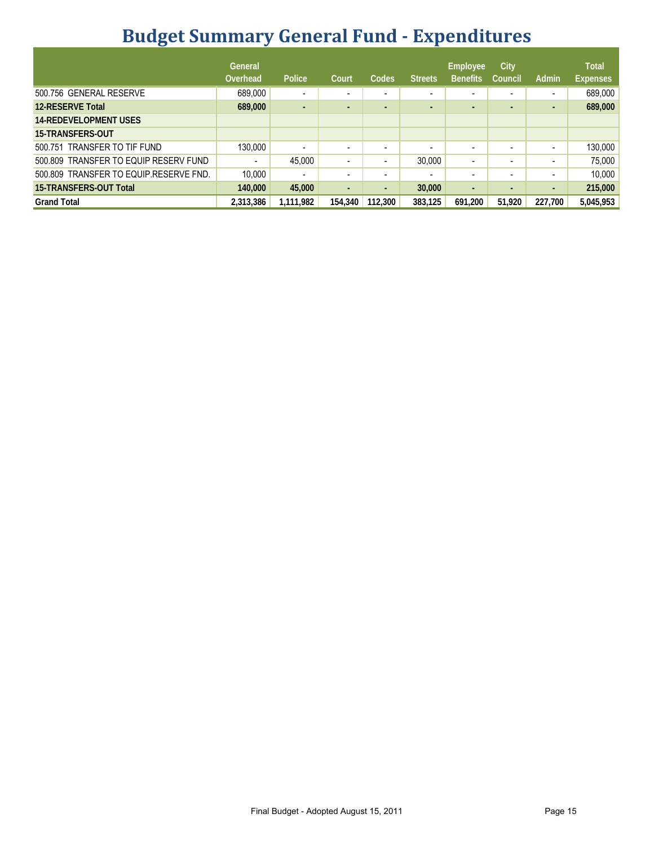# **Budget Summary General Fund - Expenditures**

|                                        | General<br>Overhead      | Police                   | Court                    | Codes                    | <b>Streets</b>           | <b>Employee</b><br><b>Benefits</b> | City<br>Council          | Admin                    | <b>Total</b><br><b>Expenses</b> |
|----------------------------------------|--------------------------|--------------------------|--------------------------|--------------------------|--------------------------|------------------------------------|--------------------------|--------------------------|---------------------------------|
| 500.756 GENERAL RESERVE                | 689,000                  | $\blacksquare$           | $\overline{\phantom{0}}$ | $\overline{\phantom{0}}$ | -                        | -                                  |                          | $\blacksquare$           | 689,000                         |
| <b>12-RESERVE Total</b>                | 689,000                  | $\sim$                   | $\overline{\phantom{a}}$ |                          | н.                       | $\sim$                             | -                        | ٠                        | 689,000                         |
| <b>14-REDEVELOPMENT USES</b>           |                          |                          |                          |                          |                          |                                    |                          |                          |                                 |
| <b>15-TRANSFERS OUT</b>                |                          |                          |                          |                          |                          |                                    |                          |                          |                                 |
| 500.751 TRANSFER TO TIF FUND           | 130,000                  | $\blacksquare$           | $\overline{\phantom{0}}$ |                          |                          | -                                  |                          | $\overline{\phantom{a}}$ | 130,000                         |
| 500,809 TRANSFER TO EQUIP RESERV FUND  | $\overline{\phantom{a}}$ | 45,000                   | $\overline{\phantom{a}}$ |                          | 30.000                   | $\overline{\phantom{a}}$           |                          | $\overline{\phantom{a}}$ | 75,000                          |
| 500.809 TRANSFER TO EQUIP.RESERVE FND. | 10,000                   | $\overline{\phantom{a}}$ | $\sim$                   |                          | $\overline{\phantom{a}}$ | $\overline{\phantom{a}}$           | $\overline{\phantom{a}}$ | $\overline{\phantom{0}}$ | 10,000                          |
| <b>15-TRANSFERS-OUT Total</b>          | 140,000                  | 45,000                   | $\sim$                   | $\blacksquare$           | 30,000                   | $\blacksquare$                     | ٠                        | $\sim$                   | 215,000                         |
| <b>Grand Total</b>                     | 2,313,386                | 1,111,982                | 154,340                  | 112,300                  | 383,125                  | 691.200                            | 51,920                   | 227,700                  | 5,045,953                       |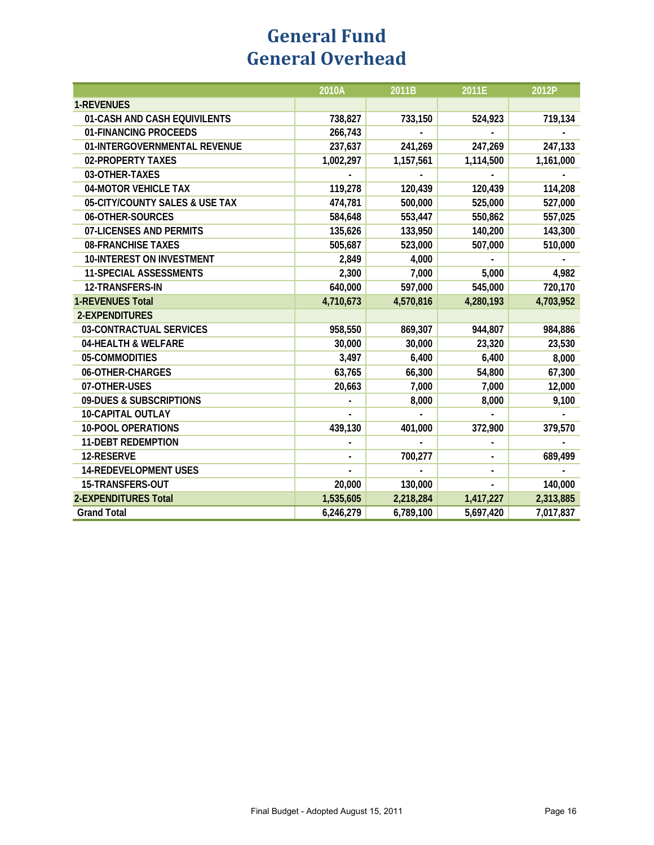### **General Fund General Overhead**

|                                  | 2010A     | 2011B     | 2011E     | 2012P     |
|----------------------------------|-----------|-----------|-----------|-----------|
| <b>1-REVENUES</b>                |           |           |           |           |
| 01-CASH AND CASH EQUIVILENTS     | 738,827   | 733,150   | 524,923   | 719,134   |
| 01-FINANCING PROCEEDS            | 266,743   |           |           |           |
| 01-INTERGOVERNMENTAL REVENUE     | 237,637   | 241,269   | 247,269   | 247,133   |
| 02-PROPERTY TAXES                | 1,002,297 | 1,157,561 | 1,114,500 | 1,161,000 |
| 03-OTHER-TAXES                   |           |           |           |           |
| 04-MOTOR VEHICLE TAX             | 119,278   | 120,439   | 120,439   | 114,208   |
| 05-CITY/COUNTY SALES & USE TAX   | 474,781   | 500,000   | 525,000   | 527,000   |
| 06-OTHER-SOURCES                 | 584,648   | 553,447   | 550,862   | 557,025   |
| 07-LICENSES AND PERMITS          | 135,626   | 133,950   | 140,200   | 143,300   |
| <b>08-FRANCHISE TAXES</b>        | 505,687   | 523,000   | 507,000   | 510,000   |
| <b>10-INTEREST ON INVESTMENT</b> | 2,849     | 4,000     |           |           |
| <b>11-SPECIAL ASSESSMENTS</b>    | 2,300     | 7,000     | 5,000     | 4,982     |
| 12-TRANSFERS-IN                  | 640,000   | 597,000   | 545,000   | 720,170   |
| <b>1-REVENUES Total</b>          | 4,710,673 | 4,570,816 | 4,280,193 | 4,703,952 |
| 2-EXPENDITURES                   |           |           |           |           |
| 03-CONTRACTUAL SERVICES          | 958,550   | 869,307   | 944,807   | 984,886   |
| 04-HEALTH & WELFARE              | 30,000    | 30,000    | 23,320    | 23,530    |
| 05-COMMODITIES                   | 3,497     | 6,400     | 6,400     | 8,000     |
| 06-OTHER-CHARGES                 | 63,765    | 66,300    | 54,800    | 67,300    |
| 07-OTHER-USES                    | 20,663    | 7,000     | 7,000     | 12,000    |
| 09-DUES & SUBSCRIPTIONS          |           | 8,000     | 8,000     | 9,100     |
| <b>10-CAPITAL OUTLAY</b>         |           |           |           |           |
| <b>10-POOL OPERATIONS</b>        | 439,130   | 401,000   | 372,900   | 379,570   |
| <b>11-DEBT REDEMPTION</b>        |           |           |           |           |
| 12-RESERVE                       |           | 700,277   |           | 689,499   |
| <b>14-REDEVELOPMENT USES</b>     |           |           |           |           |
| 15-TRANSFERS-OUT                 | 20,000    | 130,000   |           | 140,000   |
| <b>2-EXPENDITURES Total</b>      | 1,535,605 | 2,218,284 | 1,417,227 | 2,313,885 |
| <b>Grand Total</b>               | 6,246,279 | 6,789,100 | 5,697,420 | 7,017,837 |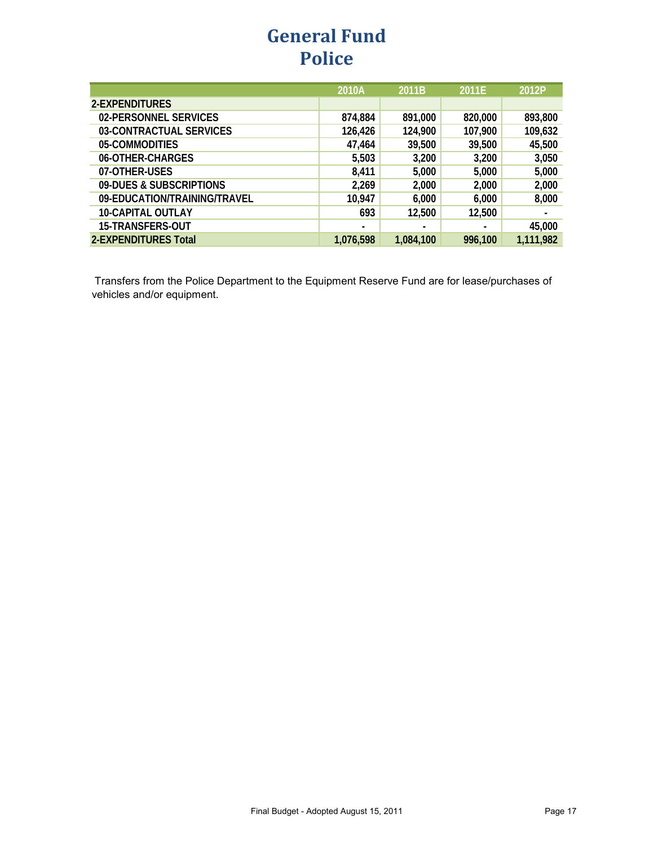### **General Fund Police**

|                              | 2010A     | 2011B     | 2011E   | 2012P     |
|------------------------------|-----------|-----------|---------|-----------|
| 2-EXPENDITURES               |           |           |         |           |
| 02-PERSONNEL SERVICES        | 874,884   | 891,000   | 820,000 | 893,800   |
| 03-CONTRACTUAL SERVICES      | 126,426   | 124,900   | 107,900 | 109,632   |
| 05-COMMODITIES               | 47,464    | 39,500    | 39,500  | 45,500    |
| 06-OTHER-CHARGES             | 5,503     | 3,200     | 3,200   | 3,050     |
| 07-OTHER-USES                | 8,411     | 5,000     | 5,000   | 5,000     |
| 09-DUES & SUBSCRIPTIONS      | 2,269     | 2,000     | 2,000   | 2,000     |
| 09-EDUCATION/TRAINING/TRAVEL | 10,947    | 6,000     | 6,000   | 8,000     |
| <b>10-CAPITAL OUTLAY</b>     | 693       | 12,500    | 12,500  |           |
| 15-TRANSFERS-OUT             |           |           |         | 45,000    |
| <b>2-EXPENDITURES Total</b>  | 1,076,598 | 1,084,100 | 996,100 | 1,111,982 |

 Transfers from the Police Department to the Equipment Reserve Fund are for lease/purchases of vehicles and/or equipment.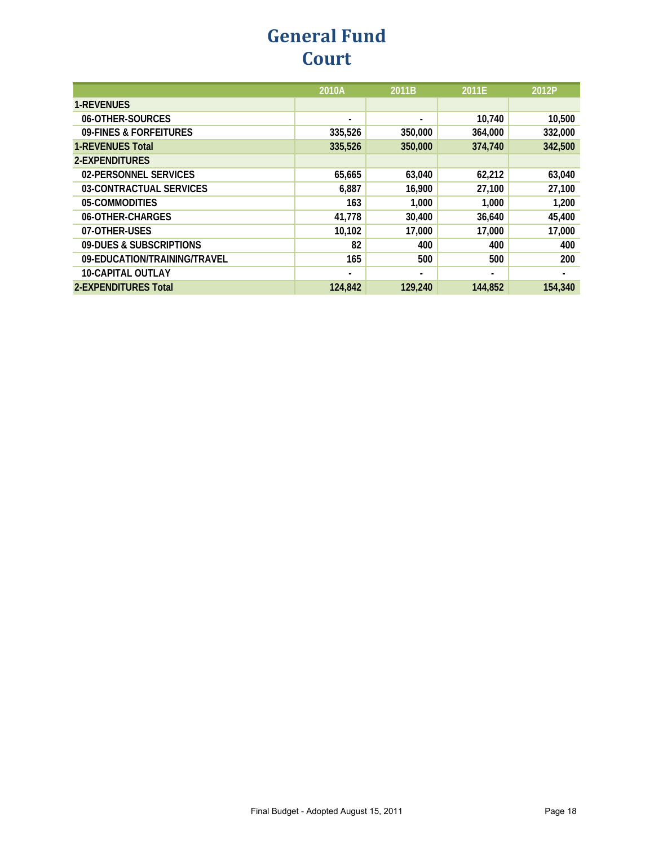### **General Fund Court**

|                              | 2010A   | 2011B          | 2011E   | 2012P   |
|------------------------------|---------|----------------|---------|---------|
| <b>1-REVENUES</b>            |         |                |         |         |
| 06-OTHER-SOURCES             | ۰       | $\blacksquare$ | 10,740  | 10,500  |
| 09-FINES & FORFEITURES       | 335,526 | 350,000        | 364,000 | 332,000 |
| <b>1-REVENUES Total</b>      | 335,526 | 350,000        | 374,740 | 342,500 |
| 2-EXPENDITURES               |         |                |         |         |
| 02-PERSONNEL SERVICES        | 65,665  | 63,040         | 62,212  | 63,040  |
| 03-CONTRACTUAL SERVICES      | 6,887   | 16,900         | 27,100  | 27,100  |
| 05-COMMODITIES               | 163     | 1.000          | 1,000   | 1,200   |
| 06-OTHER-CHARGES             | 41,778  | 30,400         | 36,640  | 45,400  |
| 07-OTHER-USES                | 10,102  | 17,000         | 17,000  | 17,000  |
| 09-DUES & SUBSCRIPTIONS      | 82      | 400            | 400     | 400     |
| 09-EDUCATION/TRAINING/TRAVEL | 165     | 500            | 500     | 200     |
| <b>10-CAPITAL OUTLAY</b>     | ۰       | ٠              | ٠       | ٠       |
| 2-EXPENDITURES Total         | 124,842 | 129,240        | 144.852 | 154,340 |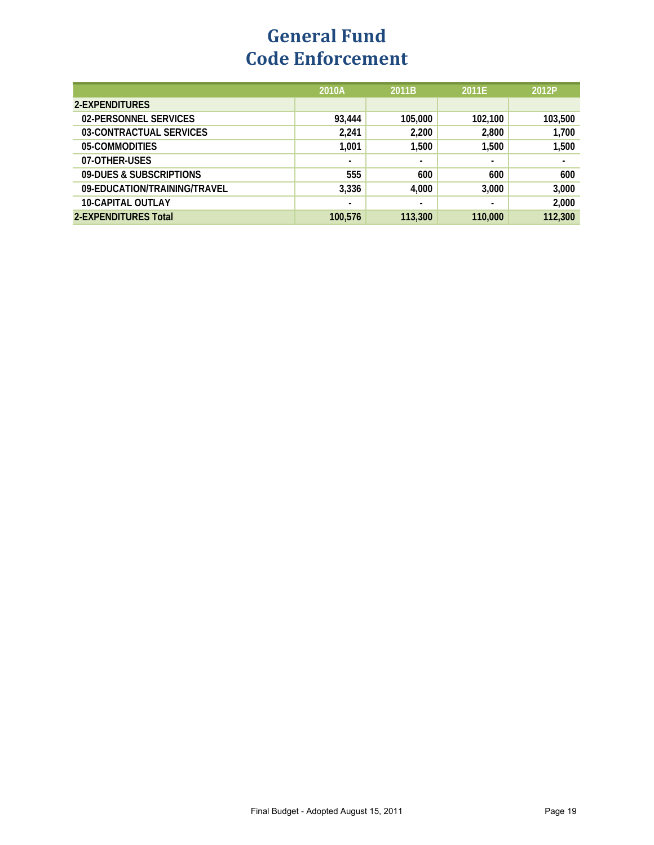### **General Fund Code Enforcement**

|                              | 2010A   | 2011B          | 2011E          | 2012P   |
|------------------------------|---------|----------------|----------------|---------|
| 2-EXPENDITURES               |         |                |                |         |
| 02-PERSONNEL SERVICES        | 93,444  | 105,000        | 102,100        | 103,500 |
| 03-CONTRACTUAL SERVICES      | 2,241   | 2,200          | 2,800          | 1,700   |
| 05-COMMODITIES               | 1,001   | 1,500          | 1,500          | 1,500   |
| 07-OTHER-USES                | -       | ٠              | $\blacksquare$ | ٠       |
| 09-DUES & SUBSCRIPTIONS      | 555     | 600            | 600            | 600     |
| 09-EDUCATION/TRAINING/TRAVEL | 3,336   | 4,000          | 3,000          | 3,000   |
| <b>10-CAPITAL OUTLAY</b>     | -       | $\blacksquare$ |                | 2,000   |
| 2-EXPENDITURES Total         | 100.576 | 113,300        | 110,000        | 112,300 |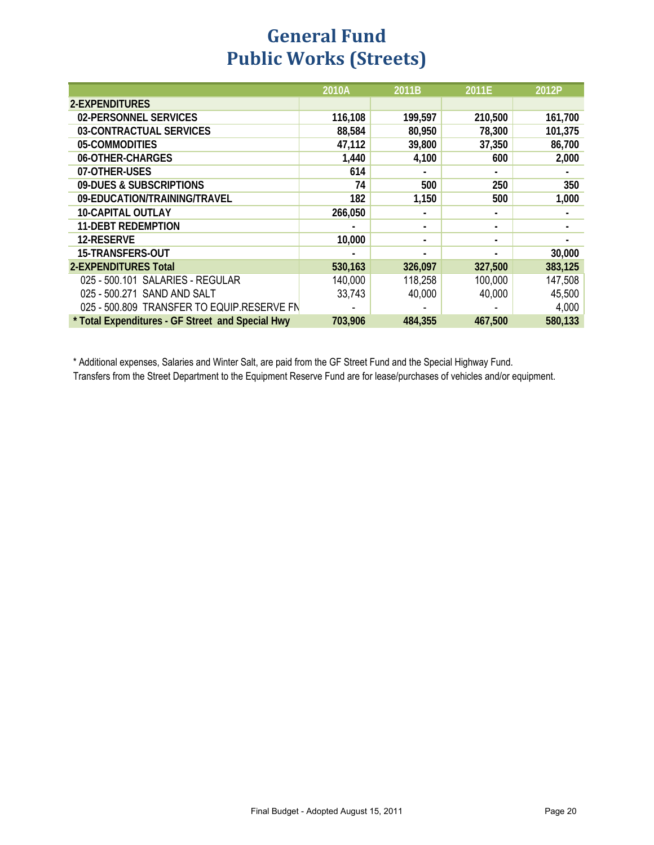### **General Fund Public Works (Streets)**

|                                                  | 2010A   | 2011B   | 2011E   | 2012P   |
|--------------------------------------------------|---------|---------|---------|---------|
| 2-EXPENDITURES                                   |         |         |         |         |
| 02-PERSONNEL SERVICES                            | 116,108 | 199,597 | 210,500 | 161,700 |
| 03-CONTRACTUAL SERVICES                          | 88,584  | 80,950  | 78,300  | 101,375 |
| 05-COMMODITIES                                   | 47,112  | 39,800  | 37,350  | 86,700  |
| 06-OTHER-CHARGES                                 | 1,440   | 4,100   | 600     | 2,000   |
| 07-OTHER-USES                                    | 614     |         |         |         |
| 09-DUES & SUBSCRIPTIONS                          | 74      | 500     | 250     | 350     |
| 09-EDUCATION/TRAINING/TRAVEL                     | 182     | 1,150   | 500     | 1,000   |
| <b>10-CAPITAL OUTLAY</b>                         | 266,050 |         |         |         |
| <b>11-DEBT REDEMPTION</b>                        |         |         | -       |         |
| <b>12-RESERVE</b>                                | 10,000  |         | -       |         |
| 15-TRANSFERS-OUT                                 |         |         |         | 30,000  |
| <b>2-EXPENDITURES Total</b>                      | 530,163 | 326,097 | 327,500 | 383,125 |
| 025 - 500.101 SALARIES - REGULAR                 | 140,000 | 118,258 | 100,000 | 147,508 |
| 025 - 500.271 SAND AND SALT                      | 33,743  | 40,000  | 40,000  | 45,500  |
| 025 - 500.809 TRANSFER TO EQUIP.RESERVE FN       |         |         |         | 4,000   |
| * Total Expenditures - GF Street and Special Hwy | 703,906 | 484,355 | 467,500 | 580,133 |

\* Additional expenses, Salaries and Winter Salt, are paid from the GF Street Fund and the Special Highway Fund.

Transfers from the Street Department to the Equipment Reserve Fund are for lease/purchases of vehicles and/or equipment.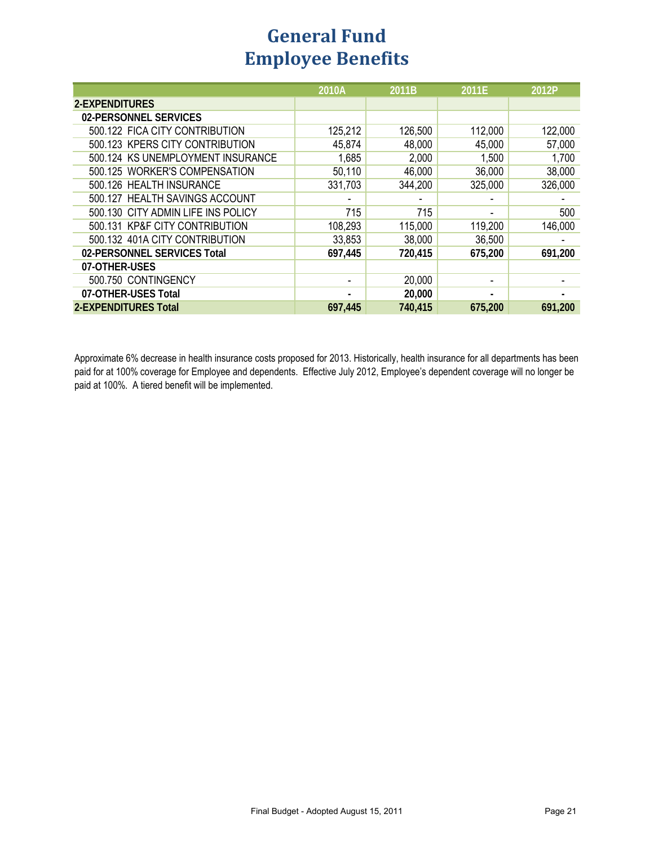#### **Employee Benefits General Fund**

|                                    | 2010A   | 2011B   | 2011E   | 2012P   |
|------------------------------------|---------|---------|---------|---------|
| 2-EXPENDITURES                     |         |         |         |         |
| 02-PERSONNEL SERVICES              |         |         |         |         |
| 500.122 FICA CITY CONTRIBUTION     | 125,212 | 126,500 | 112,000 | 122,000 |
| 500.123 KPERS CITY CONTRIBUTION    | 45,874  | 48,000  | 45,000  | 57,000  |
| 500.124 KS UNEMPLOYMENT INSURANCE  | 1,685   | 2,000   | 1,500   | 1,700   |
| 500.125 WORKER'S COMPENSATION      | 50,110  | 46,000  | 36,000  | 38,000  |
| 500.126 HEALTH INSURANCE           | 331,703 | 344,200 | 325,000 | 326,000 |
| 500.127 HEALTH SAVINGS ACCOUNT     |         |         |         |         |
| 500.130 CITY ADMIN LIFE INS POLICY | 715     | 715     |         | 500     |
| 500.131 KP&F CITY CONTRIBUTION     | 108,293 | 115,000 | 119,200 | 146,000 |
| 500.132 401A CITY CONTRIBUTION     | 33,853  | 38,000  | 36,500  |         |
| 02-PERSONNEL SERVICES Total        | 697,445 | 720,415 | 675,200 | 691,200 |
| 07-OTHER-USES                      |         |         |         |         |
| 500.750 CONTINGENCY                |         | 20,000  |         |         |
| 07-OTHER-USES Total                |         | 20,000  |         |         |
| 2-EXPENDITURES Total               | 697,445 | 740,415 | 675,200 | 691,200 |

Approximate 6% decrease in health insurance costs proposed for 2013. Historically, health insurance for all departments has been paid for at 100% coverage for Employee and dependents. Effective July 2012, Employee's dependent coverage will no longer be paid at 100%. A tiered benefit will be implemented.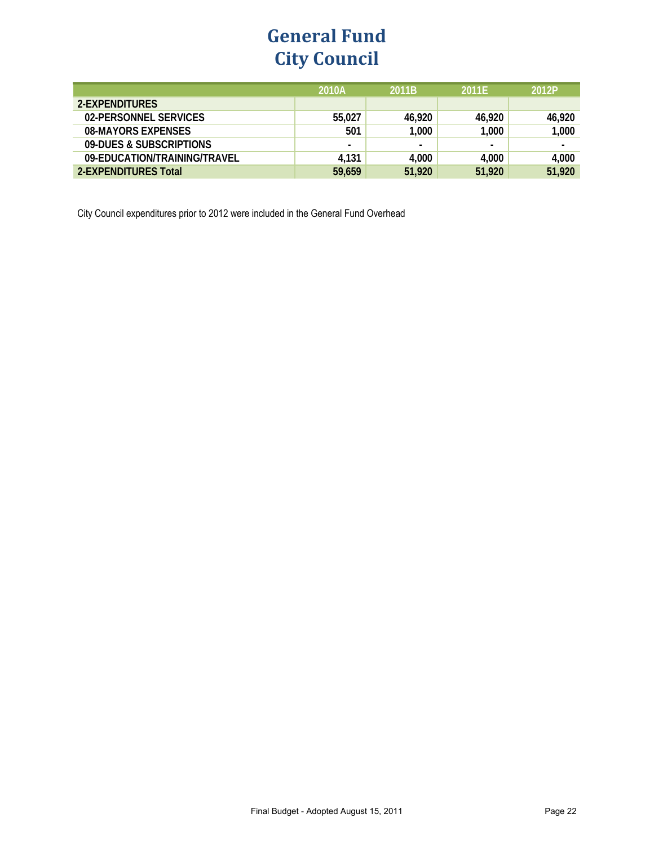### **General Fund City Council**

|                              | 2010A  | 2011B          | 2011F  | 2012P  |
|------------------------------|--------|----------------|--------|--------|
| 2-EXPENDITURES               |        |                |        |        |
| 02-PERSONNEL SERVICES        | 55,027 | 46,920         | 46,920 | 46,920 |
| 08-MAYORS EXPENSES           | 501    | 1,000          | 1,000  | 1,000  |
| 09-DUES & SUBSCRIPTIONS      |        | $\blacksquare$ | $\sim$ |        |
| 09-EDUCATION/TRAINING/TRAVEL | 4,131  | 4,000          | 4,000  | 4,000  |
| 2-EXPENDITURES Total         | 59,659 | 51,920         | 51,920 | 51,920 |

City Council expenditures prior to 2012 were included in the General Fund Overhead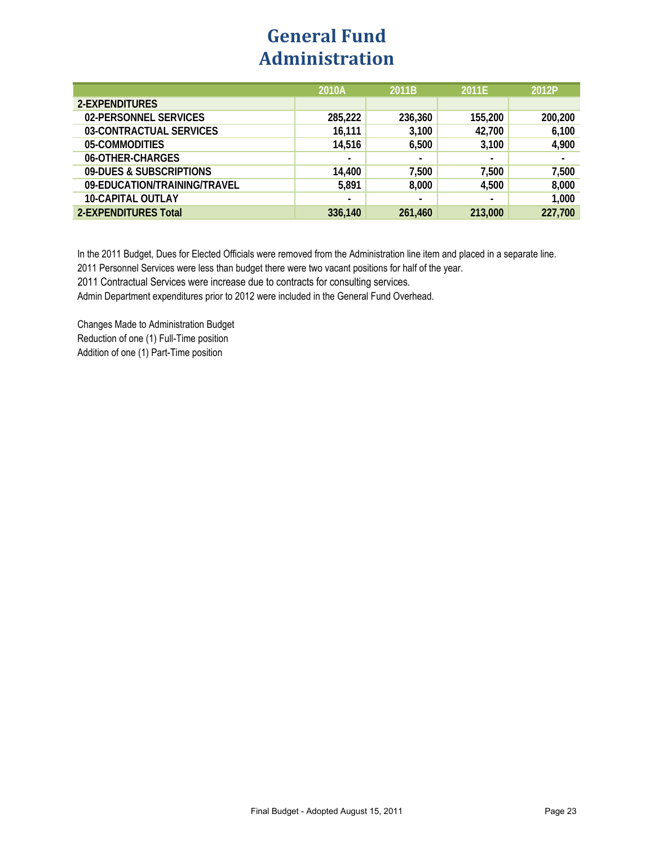#### **General Fund Administration**

|                              | 2010A          | 2011B          | 2011E          | 2012P   |
|------------------------------|----------------|----------------|----------------|---------|
| 2-EXPENDITURES               |                |                |                |         |
| 02-PERSONNEL SERVICES        | 285,222        | 236,360        | 155,200        | 200,200 |
| 03-CONTRACTUAL SERVICES      | 16,111         | 3,100          | 42,700         | 6,100   |
| 05-COMMODITIES               | 14,516         | 6,500          | 3,100          | 4,900   |
| 06-OTHER-CHARGES             | $\blacksquare$ | $\blacksquare$ | $\blacksquare$ |         |
| 09-DUES & SUBSCRIPTIONS      | 14,400         | 7,500          | 7,500          | 7,500   |
| 09-EDUCATION/TRAINING/TRAVEL | 5,891          | 8,000          | 4,500          | 8,000   |
| <b>10-CAPITAL OUTLAY</b>     |                | $\blacksquare$ | $\blacksquare$ | 1,000   |
| <b>2-EXPENDITURES Total</b>  | 336,140        | 261,460        | 213,000        | 227,700 |

In the 2011 Budget, Dues for Elected Officials were removed from the Administration line item and placed in a separate line.

2011 Personnel Services were less than budget there were two vacant positions for half of the year.

2011 Contractual Services were increase due to contracts for consulting services.

Admin Department expenditures prior to 2012 were included in the General Fund Overhead.

Changes Made to Administration Budget Reduction of one (1) Full-Time position Addition of one (1) Part-Time position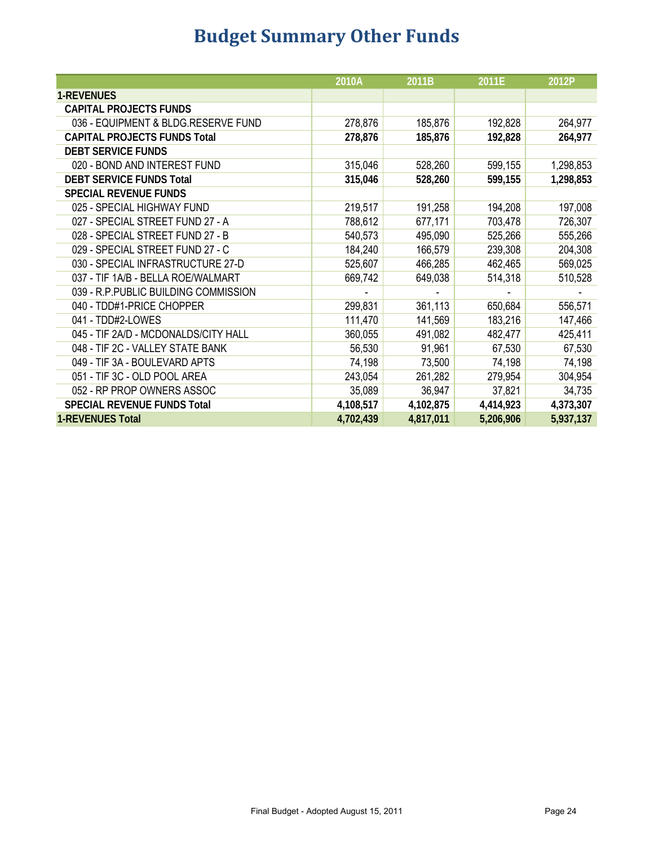# **Budget Summary Other Funds**

|                                       | 2010A     | 2011B     | 2011E          | 2012P          |
|---------------------------------------|-----------|-----------|----------------|----------------|
| <b>1-REVENUES</b>                     |           |           |                |                |
| <b>CAPITAL PROJECTS FUNDS</b>         |           |           |                |                |
| 036 - EQUIPMENT & BLDG.RESERVE FUND   | 278,876   | 185,876   | 192,828        | 264,977        |
| <b>CAPITAL PROJECTS FUNDS Total</b>   | 278,876   | 185,876   | 192,828        | 264,977        |
| <b>DEBT SERVICE FUNDS</b>             |           |           |                |                |
| 020 - BOND AND INTEREST FUND          | 315,046   | 528,260   | 599,155        | 1,298,853      |
| <b>DEBT SERVICE FUNDS Total</b>       | 315,046   | 528,260   | 599,155        | 1,298,853      |
| <b>SPECIAL REVENUE FUNDS</b>          |           |           |                |                |
| 025 - SPECIAL HIGHWAY FUND            | 219,517   | 191,258   | 194,208        | 197,008        |
| 027 - SPECIAL STREET FUND 27 - A      | 788,612   | 677,171   | 703,478        | 726,307        |
| 028 - SPECIAL STREET FUND 27 - B      | 540,573   | 495,090   | 525,266        | 555,266        |
| 029 - SPECIAL STREET FUND 27 - C      | 184,240   | 166,579   | 239,308        | 204,308        |
| 030 - SPECIAL INFRASTRUCTURE 27-D     | 525,607   | 466,285   | 462,465        | 569,025        |
| 037 - TIF 1A/B - BELLA ROE/WALMART    | 669,742   | 649,038   | 514,318        | 510,528        |
| 039 - R.P. PUBLIC BUILDING COMMISSION |           | $\sim$    | $\blacksquare$ | $\blacksquare$ |
| 040 - TDD#1-PRICE CHOPPER             | 299,831   | 361,113   | 650,684        | 556,571        |
| 041 - TDD#2-LOWES                     | 111,470   | 141,569   | 183,216        | 147,466        |
| 045 - TIF 2A/D - MCDONALDS/CITY HALL  | 360,055   | 491,082   | 482,477        | 425,411        |
| 048 - TIF 2C - VALLEY STATE BANK      | 56,530    | 91,961    | 67,530         | 67,530         |
| 049 - TIF 3A - BOULEVARD APTS         | 74,198    | 73,500    | 74,198         | 74,198         |
| 051 - TIF 3C - OLD POOL AREA          | 243,054   | 261,282   | 279,954        | 304,954        |
| 052 - RP PROP OWNERS ASSOC            | 35,089    | 36,947    | 37,821         | 34,735         |
| <b>SPECIAL REVENUE FUNDS Total</b>    | 4,108,517 | 4,102,875 | 4,414,923      | 4,373,307      |
| <b>1-REVENUES Total</b>               | 4,702,439 | 4,817,011 | 5,206,906      | 5,937,137      |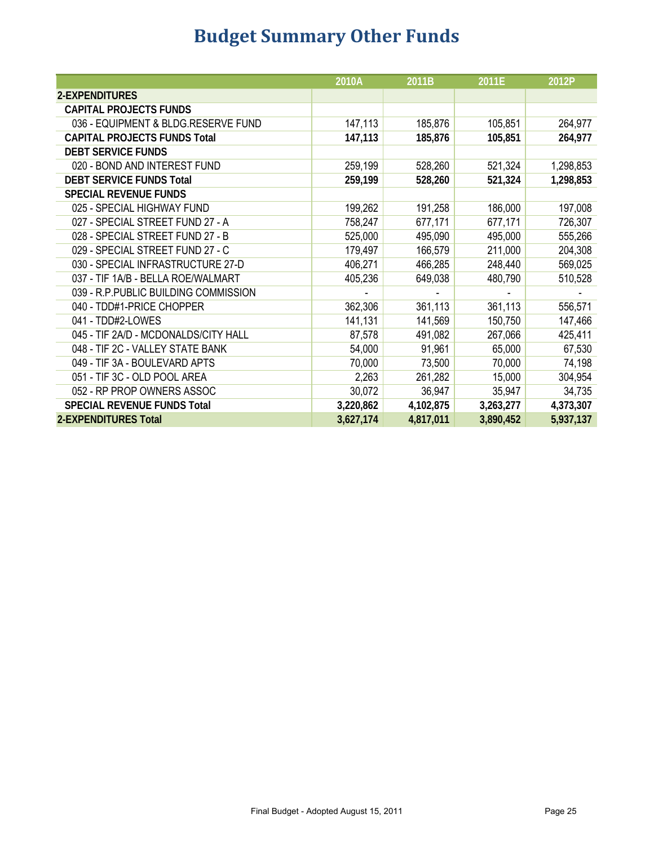# **Budget Summary Other Funds**

|                                       | 2010A     | 2011B     | 2011E     | 2012P     |
|---------------------------------------|-----------|-----------|-----------|-----------|
| 2-EXPENDITURES                        |           |           |           |           |
| <b>CAPITAL PROJECTS FUNDS</b>         |           |           |           |           |
| 036 - EQUIPMENT & BLDG.RESERVE FUND   | 147,113   | 185,876   | 105,851   | 264,977   |
| <b>CAPITAL PROJECTS FUNDS Total</b>   | 147,113   | 185,876   | 105,851   | 264,977   |
| <b>DEBT SERVICE FUNDS</b>             |           |           |           |           |
| 020 - BOND AND INTEREST FUND          | 259,199   | 528,260   | 521,324   | 1,298,853 |
| <b>DEBT SERVICE FUNDS Total</b>       | 259,199   | 528,260   | 521,324   | 1,298,853 |
| <b>SPECIAL REVENUE FUNDS</b>          |           |           |           |           |
| 025 - SPECIAL HIGHWAY FUND            | 199,262   | 191,258   | 186,000   | 197,008   |
| 027 - SPECIAL STREET FUND 27 - A      | 758,247   | 677,171   | 677,171   | 726,307   |
| 028 - SPECIAL STREET FUND 27 - B      | 525,000   | 495,090   | 495,000   | 555,266   |
| 029 - SPECIAL STREET FUND 27 - C      | 179,497   | 166,579   | 211,000   | 204,308   |
| 030 - SPECIAL INFRASTRUCTURE 27-D     | 406,271   | 466,285   | 248,440   | 569,025   |
| 037 - TIF 1A/B - BELLA ROE/WALMART    | 405,236   | 649,038   | 480,790   | 510,528   |
| 039 - R.P. PUBLIC BUILDING COMMISSION |           |           |           |           |
| 040 - TDD#1-PRICE CHOPPER             | 362,306   | 361,113   | 361,113   | 556,571   |
| 041 - TDD#2-LOWES                     | 141,131   | 141,569   | 150,750   | 147,466   |
| 045 - TIF 2A/D - MCDONALDS/CITY HALL  | 87,578    | 491,082   | 267,066   | 425,411   |
| 048 - TIF 2C - VALLEY STATE BANK      | 54,000    | 91,961    | 65,000    | 67,530    |
| 049 - TIF 3A - BOULEVARD APTS         | 70,000    | 73,500    | 70,000    | 74,198    |
| 051 - TIF 3C - OLD POOL AREA          | 2,263     | 261,282   | 15,000    | 304,954   |
| 052 - RP PROP OWNERS ASSOC            | 30,072    | 36,947    | 35,947    | 34,735    |
| <b>SPECIAL REVENUE FUNDS Total</b>    | 3,220,862 | 4,102,875 | 3,263,277 | 4,373,307 |
| <b>2-EXPENDITURES Total</b>           | 3,627,174 | 4,817,011 | 3,890,452 | 5,937,137 |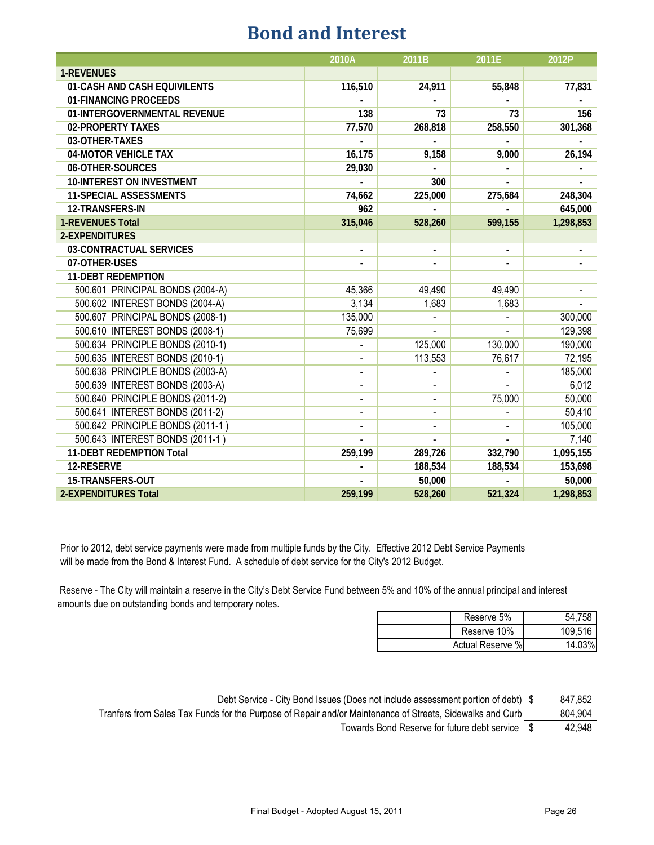#### **Bond and Interest**

|                                  | 2010A          | 2011B          | 2011E          | 2012P     |
|----------------------------------|----------------|----------------|----------------|-----------|
| <b>1-REVENUES</b>                |                |                |                |           |
| 01-CASH AND CASH EQUIVILENTS     | 116,510        | 24,911         | 55,848         | 77,831    |
| 01-FINANCING PROCEEDS            |                |                |                |           |
| 01-INTERGOVERNMENTAL REVENUE     | 138            | 73             | 73             | 156       |
| 02-PROPERTY TAXES                | 77,570         | 268,818        | 258,550        | 301,368   |
| 03-OTHER-TAXES                   |                |                |                |           |
| 04-MOTOR VEHICLE TAX             | 16,175         | 9,158          | 9,000          | 26,194    |
| 06-OTHER-SOURCES                 | 29,030         |                |                |           |
| <b>10-INTEREST ON INVESTMENT</b> |                | 300            |                |           |
| <b>11-SPECIAL ASSESSMENTS</b>    | 74,662         | 225,000        | 275,684        | 248,304   |
| 12-TRANSFERS-IN                  | 962            |                |                | 645,000   |
| <b>1-REVENUES Total</b>          | 315,046        | 528,260        | 599,155        | 1,298,853 |
| 2-EXPENDITURES                   |                |                |                |           |
| 03-CONTRACTUAL SERVICES          |                |                |                |           |
| 07-OTHER-USES                    |                | ٠              |                |           |
| <b>11-DEBT REDEMPTION</b>        |                |                |                |           |
| 500.601 PRINCIPAL BONDS (2004-A) | 45,366         | 49,490         | 49,490         |           |
| 500.602 INTEREST BONDS (2004-A)  | 3,134          | 1,683          | 1,683          |           |
| 500.607 PRINCIPAL BONDS (2008-1) | 135,000        |                |                | 300,000   |
| 500.610 INTEREST BONDS (2008-1)  | 75,699         |                |                | 129,398   |
| 500.634 PRINCIPLE BONDS (2010-1) |                | 125,000        | 130,000        | 190,000   |
| 500.635 INTEREST BONDS (2010-1)  |                | 113,553        | 76,617         | 72,195    |
| 500.638 PRINCIPLE BONDS (2003-A) | $\blacksquare$ | ÷,             | $\blacksquare$ | 185,000   |
| 500.639 INTEREST BONDS (2003-A)  | $\blacksquare$ |                |                | 6,012     |
| 500.640 PRINCIPLE BONDS (2011-2) |                |                | 75,000         | 50,000    |
| 500.641 INTEREST BONDS (2011-2)  |                | ÷,             |                | 50,410    |
| 500.642 PRINCIPLE BONDS (2011-1) | L,             | $\blacksquare$ |                | 105,000   |
| 500.643 INTEREST BONDS (2011-1)  |                |                |                | 7,140     |
| 11-DEBT REDEMPTION Total         | 259,199        | 289,726        | 332,790        | 1,095,155 |
| 12-RESERVE                       |                | 188,534        | 188,534        | 153,698   |
| 15-TRANSFERS-OUT                 |                | 50,000         |                | 50,000    |
| <b>2-EXPENDITURES Total</b>      | 259,199        | 528,260        | 521,324        | 1,298,853 |

Prior to 2012, debt service payments were made from multiple funds by the City. Effective 2012 Debt Service Payments will be made from the Bond & Interest Fund. A schedule of debt service for the City's 2012 Budget.

 Reserve - The City will maintain a reserve in the City's Debt Service Fund between 5% and 10% of the annual principal and interest amounts due on outstanding bonds and temporary notes.

|                  | Reserve 5%  | 54.758    |
|------------------|-------------|-----------|
|                  | Reserve 10% | 109,516   |
| Actual Reserve % |             | $14.03\%$ |

Debt Service - City Bond Issues (Does not include assessment portion of debt) \$ 847,852

Tranfers from Sales Tax Funds for the Purpose of Repair and/or Maintenance of Streets, Sidewalks and Curb 804,904

Towards Bond Reserve for future debt service \$ 42,948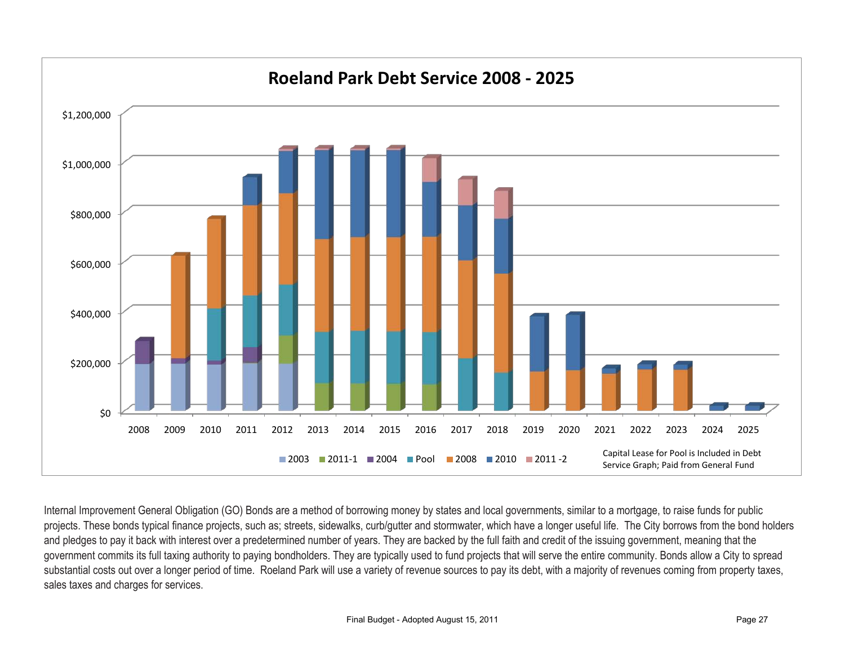

Internal Improvement General Obligation (GO) Bonds are a method of borrowing money by states and local governments, similar to a mortgage, to raise funds for public projects. These bonds typical finance projects, such as; streets, sidewalks, curb/gutter and stormwater, which have a longer useful life. The City borrows from the bond holders and pledges to pay it back with interest over a predetermined number of years. They are backed by the full faith and credit of the issuing government, meaning that the government commits its full taxing authority to paying bondholders. They are typically used to fund projects that will serve the entire community. Bonds allow a City to spread substantial costs out over a longer period of time. Roeland Park will use a variety of revenue sources to pay its debt, with a majority of revenues coming from property taxes, sales taxes and charges for services.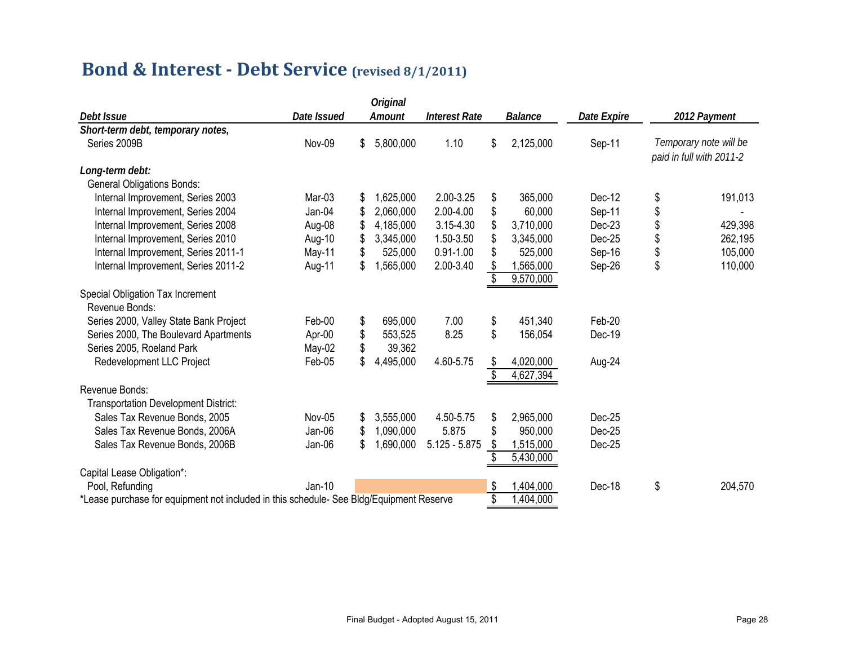### **Bond & Interest - Debt Service (revised 8/1/2011)**

| <b>Original</b>                                                                         |             |     |           |                      |    |                  |             |                                                    |
|-----------------------------------------------------------------------------------------|-------------|-----|-----------|----------------------|----|------------------|-------------|----------------------------------------------------|
| Debt Issue                                                                              | Date Issued |     | Amount    | <b>Interest Rate</b> |    | <b>Balance</b>   | Date Expire | 2012 Payment                                       |
| Short-term debt, temporary notes,                                                       |             |     |           |                      |    |                  |             |                                                    |
| Series 2009B                                                                            | Nov-09      | \$  | 5,800,000 | 1.10                 | \$ | 2,125,000        | Sep-11      | Temporary note will be<br>paid in full with 2011-2 |
| Long-term debt:                                                                         |             |     |           |                      |    |                  |             |                                                    |
| <b>General Obligations Bonds:</b>                                                       |             |     |           |                      |    |                  |             |                                                    |
| Internal Improvement, Series 2003                                                       | Mar-03      | S   | 1,625,000 | 2.00-3.25            | \$ | 365,000          | Dec-12      | \$<br>191,013                                      |
| Internal Improvement, Series 2004                                                       | Jan-04      | \$. | 2,060,000 | 2.00-4.00            | \$ | 60,000           | Sep-11      | \$                                                 |
| Internal Improvement, Series 2008                                                       | Aug-08      | \$  | 4,185,000 | 3.15-4.30            | \$ | 3,710,000        | Dec-23      | \$<br>429,398                                      |
| Internal Improvement, Series 2010                                                       | Aug-10      | \$  | 3,345,000 | 1.50-3.50            |    | 3,345,000        | Dec-25      | \$<br>262,195                                      |
| Internal Improvement, Series 2011-1                                                     | May-11      |     | 525,000   | $0.91 - 1.00$        | \$ | 525,000          | Sep-16      | \$<br>105,000                                      |
| Internal Improvement, Series 2011-2                                                     | Aug-11      | \$  | 1,565,000 | 2.00-3.40            | \$ | 1,565,000        | Sep-26      | \$<br>110,000                                      |
|                                                                                         |             |     |           |                      |    | 9,570,000        |             |                                                    |
| Special Obligation Tax Increment                                                        |             |     |           |                      |    |                  |             |                                                    |
| Revenue Bonds:                                                                          |             |     |           |                      |    |                  |             |                                                    |
| Series 2000, Valley State Bank Project                                                  | Feb-00      | \$  | 695,000   | 7.00                 | \$ | 451,340          | Feb-20      |                                                    |
| Series 2000, The Boulevard Apartments                                                   | Apr-00      | \$  | 553,525   | 8.25                 | \$ | 156,054          | Dec-19      |                                                    |
| Series 2005, Roeland Park                                                               | May-02      |     | 39,362    |                      |    |                  |             |                                                    |
| Redevelopment LLC Project                                                               | Feb-05      | \$  | 4,495,000 | 4.60-5.75            | S  | 4,020,000        | Aug-24      |                                                    |
|                                                                                         |             |     |           |                      |    | 4,627,394        |             |                                                    |
| Revenue Bonds:                                                                          |             |     |           |                      |    |                  |             |                                                    |
| <b>Transportation Development District:</b>                                             |             |     |           |                      |    |                  |             |                                                    |
| Sales Tax Revenue Bonds, 2005                                                           | Nov-05      | \$  | 3,555,000 | 4.50-5.75            | \$ | 2,965,000        | Dec-25      |                                                    |
| Sales Tax Revenue Bonds, 2006A                                                          | Jan-06      | S   | 1,090,000 | 5.875                | S  | 950,000          | Dec-25      |                                                    |
| Sales Tax Revenue Bonds, 2006B                                                          | Jan-06      | \$  | 1,690,000 | $5.125 - 5.875$      | \$ | 1,515,000        | Dec-25      |                                                    |
|                                                                                         |             |     |           |                      |    | 5,430,000        |             |                                                    |
| Capital Lease Obligation*:                                                              |             |     |           |                      |    |                  |             |                                                    |
| Pool, Refunding                                                                         | $Jan-10$    |     |           |                      | S  | 1,404,000        | Dec-18      | \$<br>204,570                                      |
| *Lease purchase for equipment not included in this schedule- See Bldg/Equipment Reserve |             |     |           |                      | \$ | $\sqrt{404,000}$ |             |                                                    |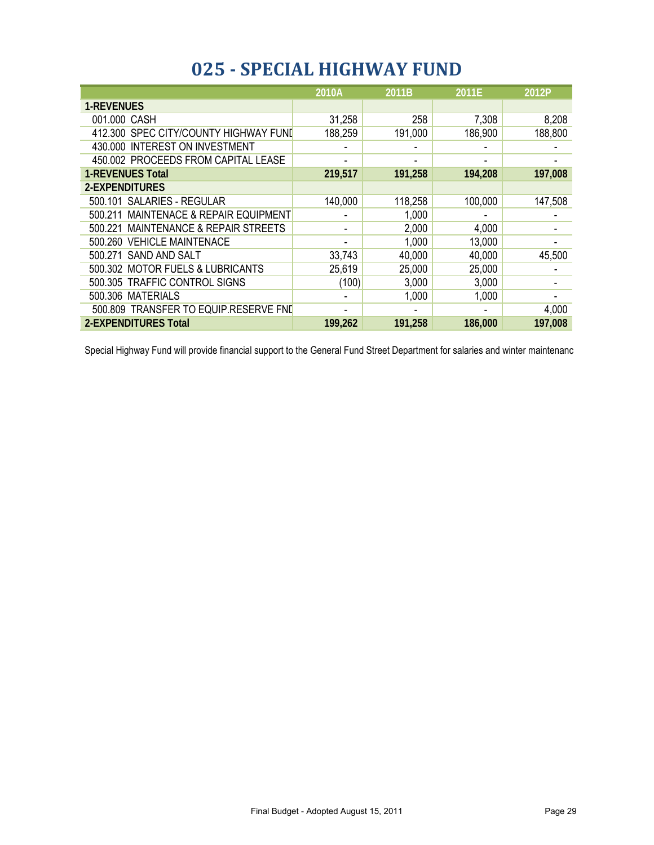## **025 - SPECIAL HIGHWAY FUND**

|                                                    | 2010A                    | 2011B   | 2011E   | 2012P   |
|----------------------------------------------------|--------------------------|---------|---------|---------|
| <b>1-REVENUES</b>                                  |                          |         |         |         |
| 001.000 CASH                                       | 31,258                   | 258     | 7,308   | 8,208   |
| 412.300 SPEC CITY/COUNTY HIGHWAY FUND              | 188,259                  | 191,000 | 186,900 | 188,800 |
| 430.000 INTEREST ON INVESTMENT                     |                          |         |         |         |
| 450.002 PROCEEDS FROM CAPITAL LEASE                |                          |         |         |         |
| <b>1-REVENUES Total</b>                            | 219,517                  | 191,258 | 194,208 | 197,008 |
| 2-EXPENDITURES                                     |                          |         |         |         |
| 500.101 SALARIES - REGULAR                         | 140,000                  | 118,258 | 100,000 | 147,508 |
| 500.211 MAINTENACE & REPAIR EQUIPMENT              |                          | 1,000   |         |         |
| <b>MAINTENANCE &amp; REPAIR STREETS</b><br>500.221 | $\overline{\phantom{a}}$ | 2,000   | 4,000   |         |
| 500.260 VEHICLE MAINTENACE                         | -                        | 1,000   | 13,000  |         |
| 500.271 SAND AND SALT                              | 33,743                   | 40,000  | 40,000  | 45,500  |
| 500.302 MOTOR FUELS & LUBRICANTS                   | 25,619                   | 25,000  | 25,000  |         |
| 500.305 TRAFFIC CONTROL SIGNS                      | (100)                    | 3,000   | 3,000   |         |
| 500.306 MATERIALS                                  |                          | 1,000   | 1,000   |         |
| 500.809 TRANSFER TO EQUIP.RESERVE FND              |                          |         |         | 4,000   |
| <b>2-EXPENDITURES Total</b>                        | 199,262                  | 191,258 | 186,000 | 197,008 |

Special Highway Fund will provide financial support to the General Fund Street Department for salaries and winter maintenanc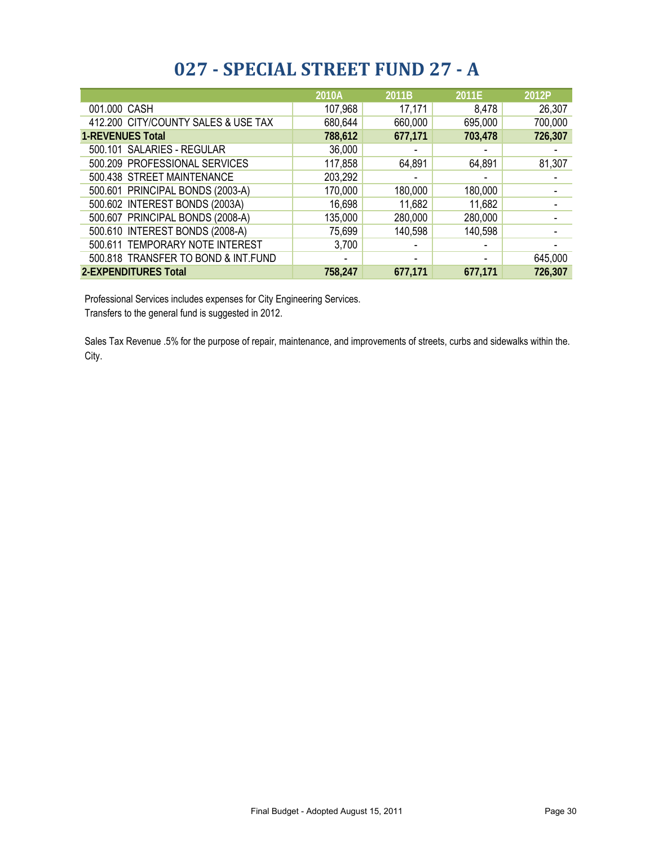#### **027 - SPECIAL STREET FUND 27 - A**

|                                     | 2010A          | 2011B   | 2011E   | 2012P   |
|-------------------------------------|----------------|---------|---------|---------|
| 001.000 CASH                        | 107,968        | 17,171  | 8,478   | 26,307  |
| 412.200 CITY/COUNTY SALES & USE TAX | 680,644        | 660,000 | 695,000 | 700,000 |
| <b>1-REVENUES Total</b>             | 788,612        | 677,171 | 703,478 | 726,307 |
| 500.101 SALARIES - REGULAR          | 36,000         |         |         |         |
| 500.209 PROFESSIONAL SERVICES       | 117,858        | 64,891  | 64,891  | 81,307  |
| 500.438 STREET MAINTENANCE          | 203,292        |         |         |         |
| 500.601 PRINCIPAL BONDS (2003-A)    | 170,000        | 180,000 | 180,000 |         |
| 500.602 INTEREST BONDS (2003A)      | 16,698         | 11,682  | 11,682  |         |
| 500.607 PRINCIPAL BONDS (2008-A)    | 135,000        | 280,000 | 280,000 |         |
| 500.610 INTEREST BONDS (2008-A)     | 75,699         | 140,598 | 140,598 |         |
| 500.611 TEMPORARY NOTE INTEREST     | 3,700          |         |         |         |
| 500.818 TRANSFER TO BOND & INT.FUND | $\blacksquare$ |         |         | 645,000 |
| 2-EXPENDITURES Total                | 758,247        | 677,171 | 677,171 | 726,307 |

Professional Services includes expenses for City Engineering Services.

Transfers to the general fund is suggested in 2012.

Sales Tax Revenue .5% for the purpose of repair, maintenance, and improvements of streets, curbs and sidewalks within the. City.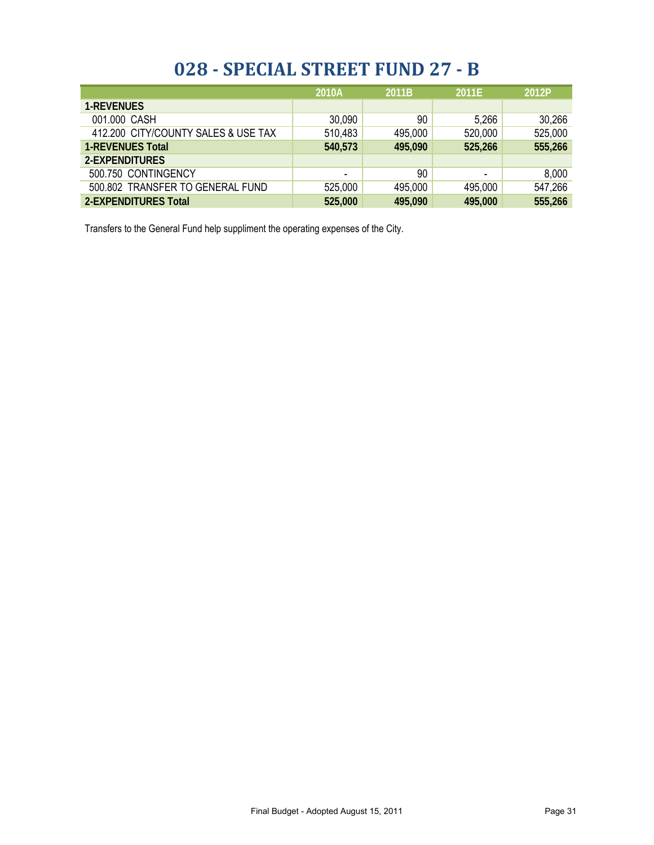#### **028 - SPECIAL STREET FUND 27 - B**

|                                     | 2010A   | 2011B   | 2011E          | 2012P   |
|-------------------------------------|---------|---------|----------------|---------|
| <b>1-REVENUES</b>                   |         |         |                |         |
| 001.000 CASH                        | 30,090  | 90      | 5,266          | 30,266  |
| 412.200 CITY/COUNTY SALES & USE TAX | 510,483 | 495,000 | 520,000        | 525,000 |
| <b>1-REVENUES Total</b>             | 540,573 | 495,090 | 525,266        | 555,266 |
| 2-EXPENDITURES                      |         |         |                |         |
| 500.750 CONTINGENCY                 | ۰       | 90      | $\blacksquare$ | 8,000   |
| 500.802 TRANSFER TO GENERAL FUND    | 525,000 | 495,000 | 495,000        | 547,266 |
| 2-EXPENDITURES Total                | 525,000 | 495,090 | 495,000        | 555,266 |

Transfers to the General Fund help suppliment the operating expenses of the City.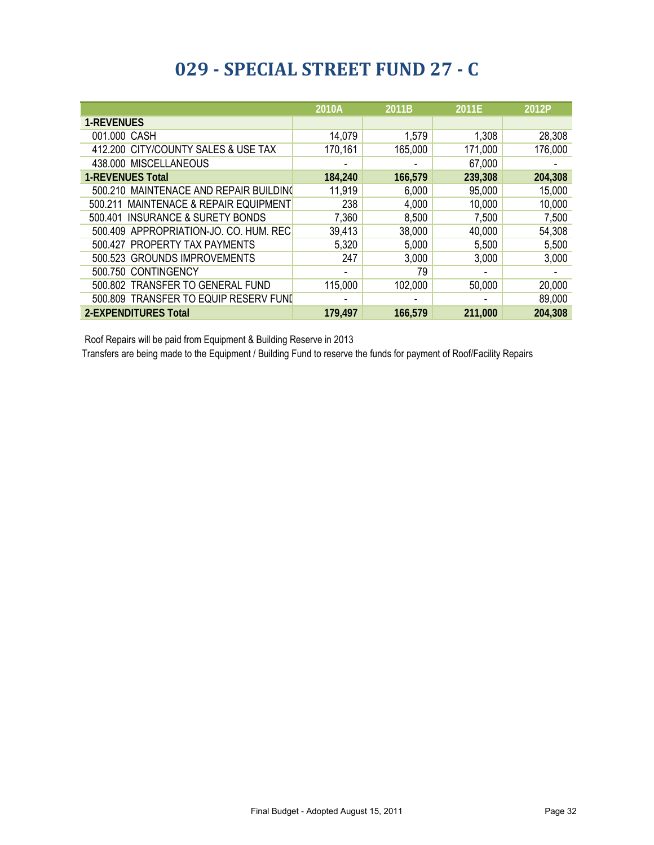### **029 - SPECIAL STREET FUND 27 - C**

|                                                     | 2010A   | 2011B   | 2011E   | 2012P   |
|-----------------------------------------------------|---------|---------|---------|---------|
| <b>1-REVENUES</b>                                   |         |         |         |         |
| 001.000 CASH                                        | 14,079  | 1,579   | 1,308   | 28,308  |
| 412.200 CITY/COUNTY SALES & USE TAX                 | 170,161 | 165,000 | 171,000 | 176,000 |
| 438.000 MISCELLANEOUS                               |         |         | 67,000  |         |
| <b>1-REVENUES Total</b>                             | 184,240 | 166,579 | 239,308 | 204,308 |
| 500.210 MAINTENACE AND REPAIR BUILDING              | 11,919  | 6,000   | 95,000  | 15,000  |
| <b>MAINTENACE &amp; REPAIR EQUIPMENT</b><br>500.211 | 238     | 4,000   | 10,000  | 10,000  |
| 500.401 INSURANCE & SURETY BONDS                    | 7,360   | 8,500   | 7,500   | 7,500   |
| 500.409 APPROPRIATION-JO. CO. HUM. REC              | 39,413  | 38,000  | 40,000  | 54,308  |
| 500.427 PROPERTY TAX PAYMENTS                       | 5,320   | 5,000   | 5,500   | 5,500   |
| 500.523 GROUNDS IMPROVEMENTS                        | 247     | 3,000   | 3,000   | 3,000   |
| 500.750 CONTINGENCY                                 |         | 79      |         |         |
| 500.802 TRANSFER TO GENERAL FUND                    | 115,000 | 102,000 | 50,000  | 20,000  |
| 500.809 TRANSFER TO EQUIP RESERV FUND               |         |         |         | 89,000  |
| <b>2-EXPENDITURES Total</b>                         | 179,497 | 166,579 | 211,000 | 204,308 |

Roof Repairs will be paid from Equipment & Building Reserve in 2013

Transfers are being made to the Equipment / Building Fund to reserve the funds for payment of Roof/Facility Repairs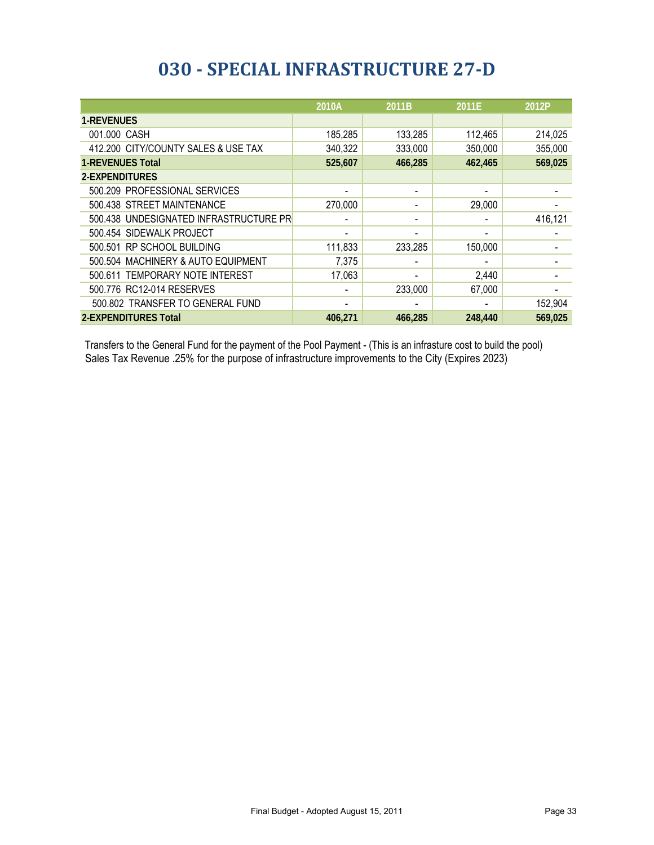### **030 - SPECIAL INFRASTRUCTURE 27-D**

|                                        | 2010A                    | 2011B                    | 2011E   | 2012P   |
|----------------------------------------|--------------------------|--------------------------|---------|---------|
| <b>1-REVENUES</b>                      |                          |                          |         |         |
| 001.000 CASH                           | 185,285                  | 133,285                  | 112,465 | 214,025 |
| 412.200 CITY/COUNTY SALES & USE TAX    | 340,322                  | 333,000                  | 350,000 | 355,000 |
| <b>1-REVENUES Total</b>                | 525,607                  | 466,285                  | 462,465 | 569,025 |
| 2-EXPENDITURES                         |                          |                          |         |         |
| 500.209 PROFESSIONAL SERVICES          | $\overline{\phantom{a}}$ | $\overline{\phantom{a}}$ |         |         |
| 500.438 STREET MAINTENANCE             | 270,000                  |                          | 29,000  |         |
| 500.438 UNDESIGNATED INFRASTRUCTURE PR | $\overline{\phantom{a}}$ |                          |         | 416,121 |
| 500.454 SIDEWALK PROJECT               | $\overline{\phantom{0}}$ |                          |         |         |
| 500.501 RP SCHOOL BUILDING             | 111,833                  | 233,285                  | 150,000 |         |
| 500.504 MACHINERY & AUTO EQUIPMENT     | 7,375                    |                          |         |         |
| 500.611 TEMPORARY NOTE INTEREST        | 17,063                   |                          | 2,440   |         |
| 500.776 RC12-014 RESERVES              |                          | 233,000                  | 67,000  |         |
| 500.802 TRANSFER TO GENERAL FUND       |                          |                          |         | 152,904 |
| <b>2-EXPENDITURES Total</b>            | 406,271                  | 466,285                  | 248,440 | 569,025 |

Transfers to the General Fund for the payment of the Pool Payment - (This is an infrasture cost to build the pool) Sales Tax Revenue .25% for the purpose of infrastructure improvements to the City (Expires 2023)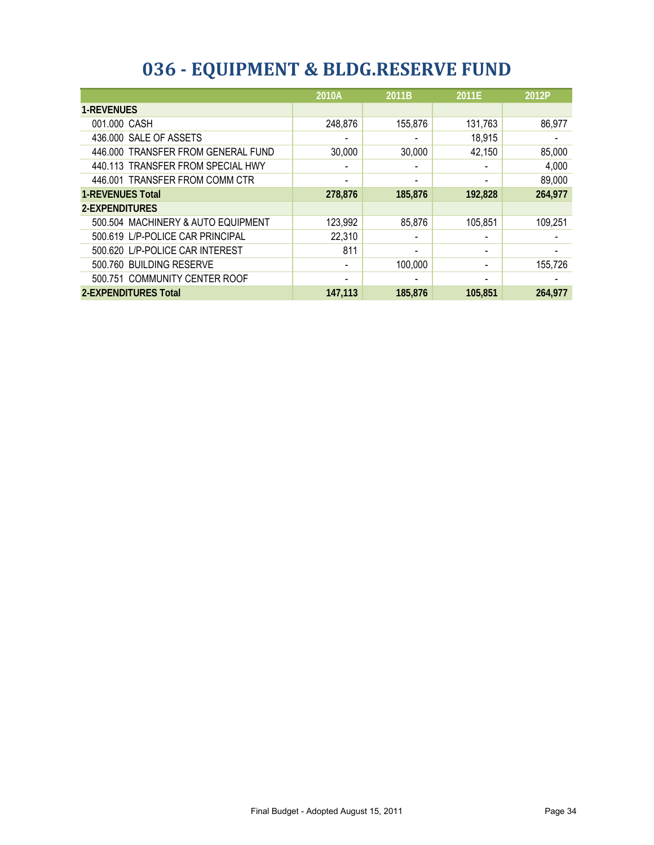|                                    | 2010A                    | 2011B   | 2011E                    | 2012P   |
|------------------------------------|--------------------------|---------|--------------------------|---------|
| <b>1-REVENUES</b>                  |                          |         |                          |         |
| 001.000 CASH                       | 248,876                  | 155,876 | 131,763                  | 86,977  |
| 436.000 SALE OF ASSETS             | ٠                        |         | 18,915                   |         |
| 446.000 TRANSFER FROM GENERAL FUND | 30,000                   | 30,000  | 42,150                   | 85,000  |
| 440.113 TRANSFER FROM SPECIAL HWY  |                          |         |                          | 4,000   |
| 446.001 TRANSFER FROM COMM CTR     | $\overline{\phantom{0}}$ |         |                          | 89,000  |
| <b>1-REVENUES Total</b>            | 278,876                  | 185,876 | 192,828                  | 264,977 |
| 2-EXPENDITURES                     |                          |         |                          |         |
| 500.504 MACHINERY & AUTO EQUIPMENT | 123,992                  | 85,876  | 105,851                  | 109,251 |
| 500.619 L/P-POLICE CAR PRINCIPAL   | 22,310                   |         |                          |         |
| 500.620 L/P-POLICE CAR INTEREST    | 811                      |         |                          |         |
| 500.760 BUILDING RESERVE           | $\overline{\phantom{a}}$ | 100,000 | $\overline{\phantom{a}}$ | 155,726 |
| 500.751 COMMUNITY CENTER ROOF      | $\blacksquare$           |         |                          |         |
| 2-EXPENDITURES Total               | 147.113                  | 185,876 | 105.851                  | 264,977 |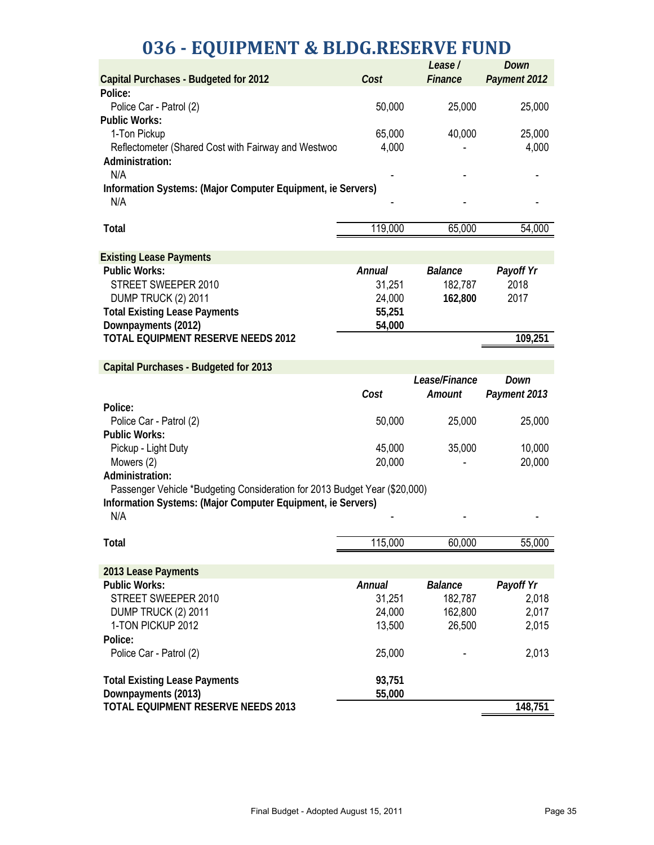## **036 - EQUIPMENT & BLDG.RESERVE FUND**

|                                                                            |               | Lease/         | Down         |
|----------------------------------------------------------------------------|---------------|----------------|--------------|
| <b>Capital Purchases - Budgeted for 2012</b><br>Police:                    | Cost          | Finance        | Payment 2012 |
| Police Car - Patrol (2)                                                    | 50,000        | 25,000         | 25,000       |
| <b>Public Works:</b>                                                       |               |                |              |
| 1-Ton Pickup                                                               | 65,000        | 40,000         | 25,000       |
| Reflectometer (Shared Cost with Fairway and Westwoo                        | 4,000         |                | 4,000        |
| Administration:                                                            |               |                |              |
| N/A                                                                        |               |                |              |
| Information Systems: (Major Computer Equipment, ie Servers)                |               |                |              |
| N/A                                                                        |               |                |              |
|                                                                            |               |                |              |
| <b>Total</b>                                                               | 119,000       | 65,000         | 54,000       |
|                                                                            |               |                |              |
| <b>Existing Lease Payments</b>                                             |               |                |              |
| <b>Public Works:</b>                                                       | Annual        | <b>Balance</b> | Payoff Yr    |
| STREET SWEEPER 2010                                                        | 31,251        | 182,787        | 2018         |
| DUMP TRUCK (2) 2011                                                        | 24,000        | 162,800        | 2017         |
| <b>Total Existing Lease Payments</b>                                       | 55,251        |                |              |
| Downpayments (2012)                                                        | 54,000        |                |              |
| TOTAL EQUIPMENT RESERVE NEEDS 2012                                         |               |                | 109,251      |
| <b>Capital Purchases - Budgeted for 2013</b>                               |               |                |              |
|                                                                            |               | Lease/Finance  | Down         |
|                                                                            | Cost          | Amount         | Payment 2013 |
| Police:                                                                    |               |                |              |
| Police Car - Patrol (2)                                                    | 50,000        | 25,000         | 25,000       |
| <b>Public Works:</b>                                                       |               |                |              |
| Pickup - Light Duty                                                        | 45,000        | 35,000         | 10,000       |
| Mowers (2)                                                                 | 20,000        |                | 20,000       |
| Administration:                                                            |               |                |              |
| Passenger Vehicle *Budgeting Consideration for 2013 Budget Year (\$20,000) |               |                |              |
| Information Systems: (Major Computer Equipment, ie Servers)                |               |                |              |
| N/A                                                                        |               |                |              |
| <b>Total</b>                                                               | 115,000       | 60,000         | 55,000       |
|                                                                            |               |                |              |
| 2013 Lease Payments                                                        |               |                |              |
| <b>Public Works:</b>                                                       | <b>Annual</b> | <b>Balance</b> | Payoff Yr    |
| STREET SWEEPER 2010                                                        | 31,251        | 182,787        | 2,018        |
| DUMP TRUCK (2) 2011                                                        | 24,000        | 162,800        | 2,017        |
| 1-TON PICKUP 2012                                                          | 13,500        | 26,500         | 2,015        |
| Police:                                                                    |               |                |              |
| Police Car - Patrol (2)                                                    | 25,000        |                | 2,013        |
|                                                                            |               |                |              |
| <b>Total Existing Lease Payments</b>                                       | 93,751        |                |              |
| Downpayments (2013)<br>TOTAL EQUIPMENT RESERVE NEEDS 2013                  | 55,000        |                | 148,751      |
|                                                                            |               |                |              |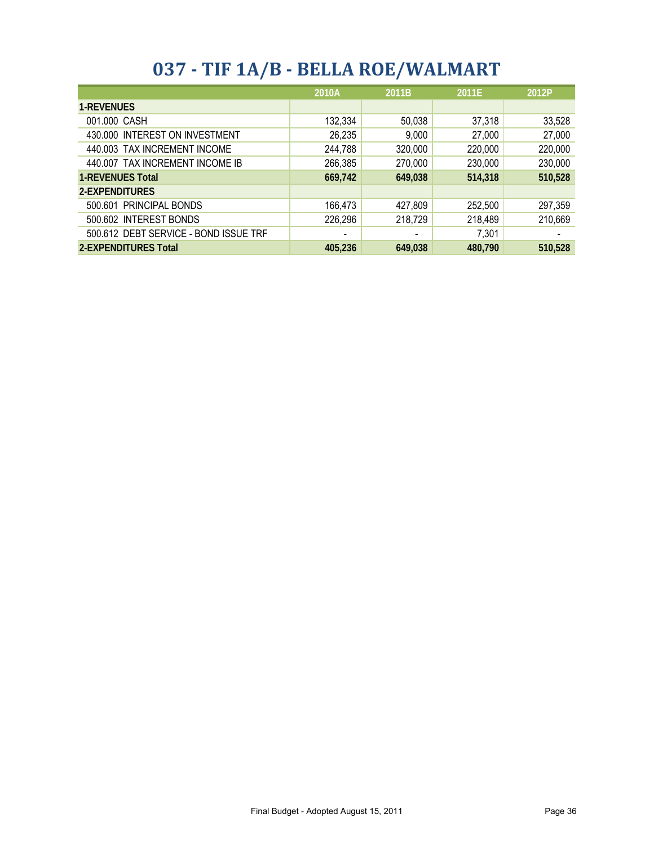## **037 - TIF 1A/B - BELLA ROE/WALMART**

|                                       | 2010A<br>2011B |         | 2011E   | 2012P   |
|---------------------------------------|----------------|---------|---------|---------|
| <b>1-REVENUES</b>                     |                |         |         |         |
| 001.000 CASH                          | 132,334        | 50,038  | 37,318  | 33,528  |
| 430.000 INTEREST ON INVESTMENT        | 26,235         | 9,000   | 27,000  | 27,000  |
| 440.003 TAX INCREMENT INCOME          | 244,788        | 320,000 | 220,000 | 220,000 |
| 440.007 TAX INCREMENT INCOME IB       | 266,385        | 270,000 | 230,000 | 230,000 |
| <b>1-REVENUES Total</b>               | 669,742        | 649,038 | 514,318 | 510,528 |
| 2-EXPENDITURES                        |                |         |         |         |
| 500.601 PRINCIPAL BONDS               | 166,473        | 427,809 | 252,500 | 297,359 |
| 500.602 INTEREST BONDS                | 226,296        | 218,729 | 218,489 | 210,669 |
| 500.612 DEBT SERVICE - BOND ISSUE TRF | $\blacksquare$ |         | 7,301   |         |
| 2-EXPENDITURES Total                  | 405.236        | 649.038 | 480,790 | 510,528 |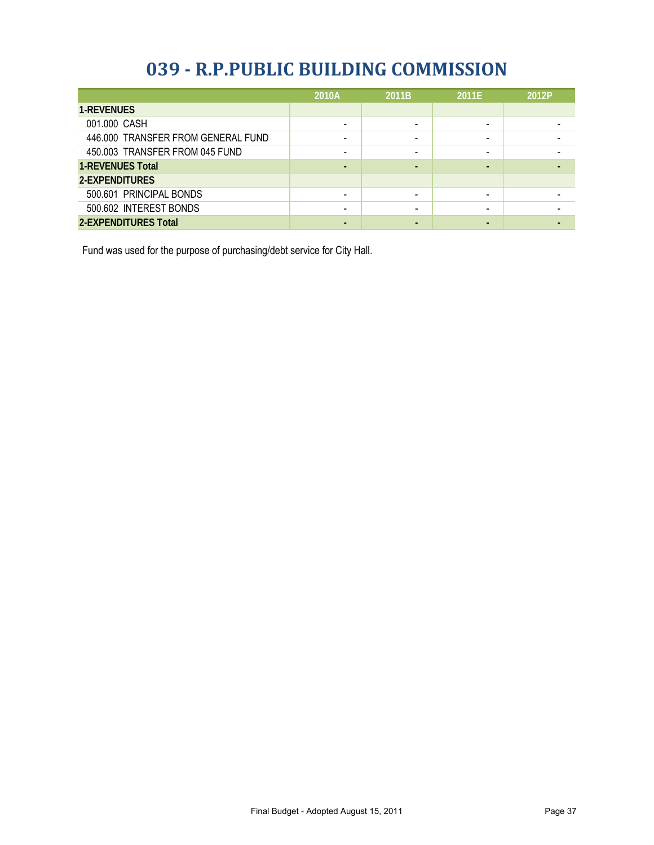#### **039 - R.P.PUBLIC BUILDING COMMISSION**

|                                    | 2010A                    | 2011B | 2011E | 2012P |
|------------------------------------|--------------------------|-------|-------|-------|
| <b>1-REVENUES</b>                  |                          |       |       |       |
| 001.000 CASH                       | $\overline{\phantom{a}}$ |       |       |       |
| 446.000 TRANSFER FROM GENERAL FUND | $\overline{\phantom{a}}$ |       |       |       |
| 450.003 TRANSFER FROM 045 FUND     | $\overline{\phantom{a}}$ |       |       |       |
| <b>1-REVENUES Total</b>            | ٠                        |       |       |       |
| 2-EXPENDITURES                     |                          |       |       |       |
| 500.601 PRINCIPAL BONDS            | $\overline{\phantom{0}}$ |       |       |       |
| 500.602 INTEREST BONDS             |                          |       |       |       |
| <b>2-EXPENDITURES Total</b>        | $\overline{\phantom{0}}$ |       |       |       |

Fund was used for the purpose of purchasing/debt service for City Hall.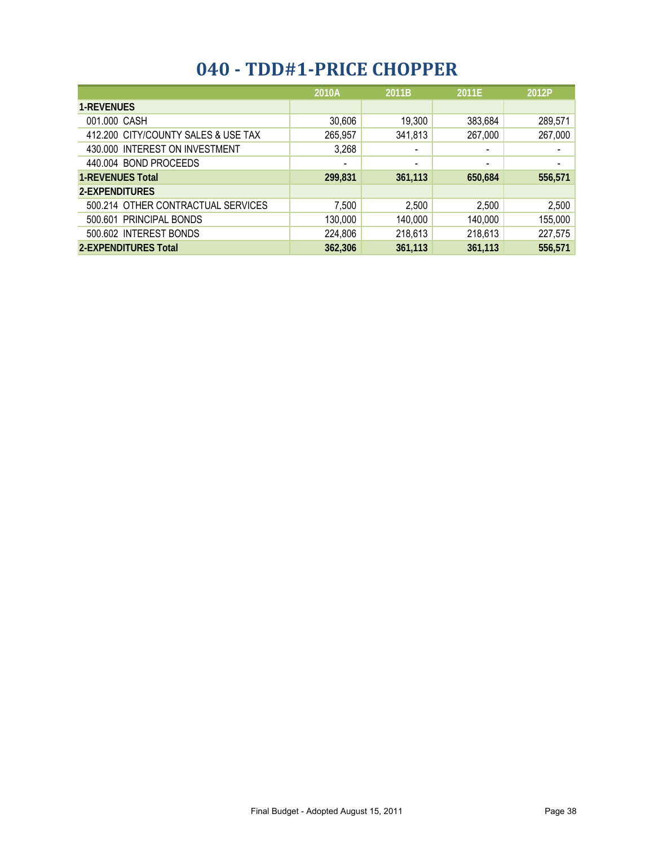## **040 - TDD#1-PRICE CHOPPER**

|                                     | 2010A                        | 2011B                    | 2011E                    | 2012P                    |
|-------------------------------------|------------------------------|--------------------------|--------------------------|--------------------------|
| <b>1-REVENUES</b>                   |                              |                          |                          |                          |
| 001.000 CASH                        | 30,606                       | 19,300                   | 383,684                  | 289,571                  |
| 412.200 CITY/COUNTY SALES & USE TAX | 265,957                      | 341,813                  | 267,000                  | 267,000                  |
| 430.000 INTEREST ON INVESTMENT      | 3,268                        | $\overline{\phantom{0}}$ | $\overline{\phantom{0}}$ | $\overline{\phantom{0}}$ |
| 440.004 BOND PROCEEDS               | $\qquad \qquad \blacksquare$ | $\overline{\phantom{0}}$ | $\overline{\phantom{a}}$ | $\overline{\phantom{0}}$ |
| <b>1-REVENUES Total</b>             | 299,831                      | 361,113                  | 650,684                  | 556,571                  |
| 2-EXPENDITURES                      |                              |                          |                          |                          |
| 500.214 OTHER CONTRACTUAL SERVICES  | 7,500                        | 2,500                    | 2,500                    | 2,500                    |
| 500.601 PRINCIPAL BONDS             | 130,000                      | 140,000                  | 140,000                  | 155,000                  |
| 500.602 INTEREST BONDS              | 224,806                      | 218,613                  | 218,613                  | 227,575                  |
| <b>2-EXPENDITURES Total</b>         | 362,306                      | 361,113                  | 361,113                  | 556,571                  |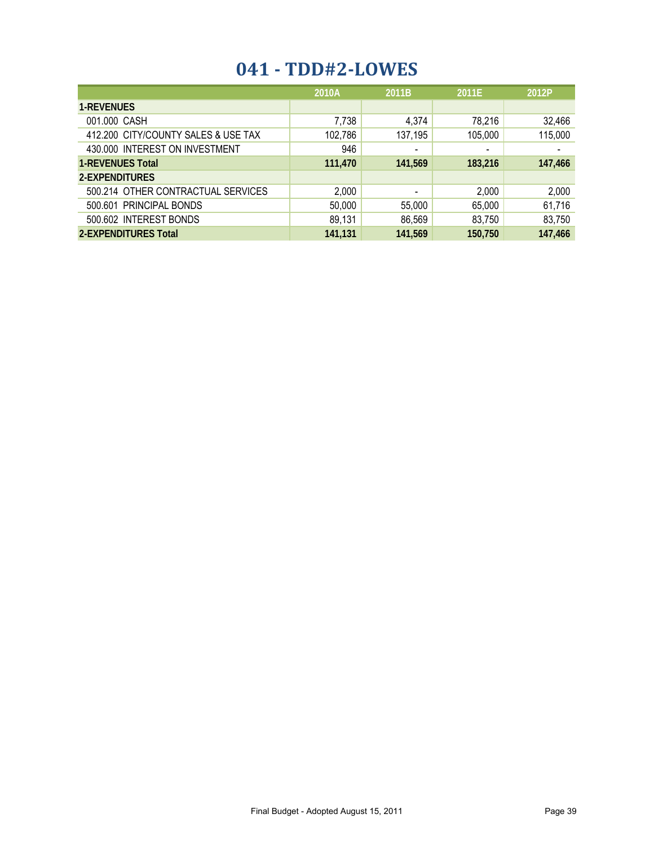### **041 - TDD#2-LOWES**

|                                     | 2010A   | 2011B                    | 2011E                    | 2012P   |
|-------------------------------------|---------|--------------------------|--------------------------|---------|
| <b>1-REVENUES</b>                   |         |                          |                          |         |
| 001.000 CASH                        | 7,738   | 4,374                    | 78,216                   | 32,466  |
| 412.200 CITY/COUNTY SALES & USE TAX | 102,786 | 137,195                  | 105,000                  | 115,000 |
| 430.000 INTEREST ON INVESTMENT      | 946     | $\overline{\phantom{0}}$ | $\overline{\phantom{a}}$ |         |
| <b>1-REVENUES Total</b>             | 111,470 | 141,569                  | 183,216                  | 147,466 |
| 2-EXPENDITURES                      |         |                          |                          |         |
| 500.214 OTHER CONTRACTUAL SERVICES  | 2,000   | $\overline{\phantom{0}}$ | 2,000                    | 2,000   |
| 500.601 PRINCIPAL BONDS             | 50,000  | 55,000                   | 65,000                   | 61,716  |
| 500.602 INTEREST BONDS              | 89,131  | 86,569                   | 83,750                   | 83,750  |
| <b>2-EXPENDITURES Total</b>         | 141.131 | 141,569                  | 150,750                  | 147,466 |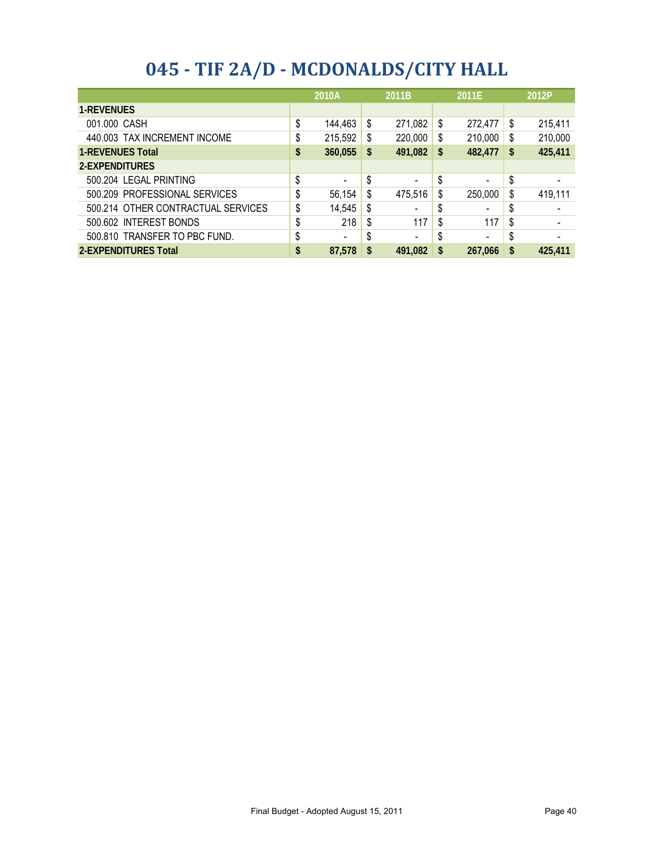|  |  | 045 - TIF 2A/D - MCDONALDS/CITY HALL |  |
|--|--|--------------------------------------|--|
|--|--|--------------------------------------|--|

|                                    | 2010A                          |    | 2011B   |     | 2011E                    |    | 2012P   |
|------------------------------------|--------------------------------|----|---------|-----|--------------------------|----|---------|
| <b>1-REVENUES</b>                  |                                |    |         |     |                          |    |         |
| 001.000 CASH                       | \$<br>144,463                  | \$ | 271,082 | -\$ | 272,477                  | \$ | 215,411 |
| 440.003 TAX INCREMENT INCOME       | \$<br>215,592                  | \$ | 220,000 | S   | 210,000                  | \$ | 210,000 |
| <b>1-REVENUES Total</b>            | \$<br>360,055                  | \$ | 491,082 | S   | 482,477                  | \$ | 425,411 |
| 2-EXPENDITURES                     |                                |    |         |     |                          |    |         |
| 500.204 LEGAL PRINTING             | \$<br>$\overline{\phantom{a}}$ | \$ |         | \$  | $\overline{\phantom{a}}$ | \$ |         |
| 500.209 PROFESSIONAL SERVICES      | \$<br>56,154                   | \$ | 475,516 | \$  | 250,000                  | \$ | 419,111 |
| 500.214 OTHER CONTRACTUAL SERVICES | \$<br>14,545                   | S  |         | \$  | $\overline{\phantom{0}}$ | S  |         |
| 500.602 INTEREST BONDS             | \$<br>218                      | \$ | 117     | \$  | 117                      | \$ |         |
| 500.810 TRANSFER TO PBC FUND.      | \$<br>$\overline{\phantom{a}}$ | S  |         | S   | $\overline{\phantom{a}}$ | \$ |         |
| 2-EXPENDITURES Total               | 87,578                         | \$ | 491,082 | S   | 267.066                  | \$ | 425,411 |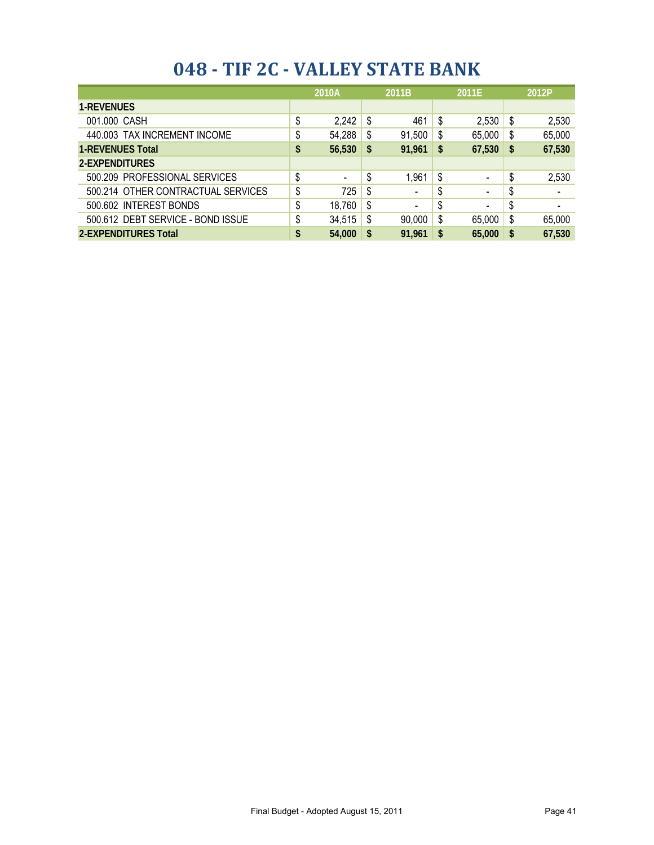|                                    |    | 2010A  | 2011B |                          | 2011E |                          |    | 2012P  |
|------------------------------------|----|--------|-------|--------------------------|-------|--------------------------|----|--------|
| <b>1-REVENUES</b>                  |    |        |       |                          |       |                          |    |        |
| 001.000 CASH                       | \$ | 2,242  | S     | 461                      | \$    | 2,530                    | \$ | 2,530  |
| 440.003 TAX INCREMENT INCOME       | \$ | 54,288 | S     | 91,500                   | \$    | 65,000                   | \$ | 65,000 |
| <b>1-REVENUES Total</b>            | \$ | 56,530 | -S    | 91,961                   | \$    | 67,530                   | S  | 67,530 |
| 2-EXPENDITURES                     |    |        |       |                          |       |                          |    |        |
| 500.209 PROFESSIONAL SERVICES      | \$ | ۰      | \$    | 1,961                    | \$    | $\blacksquare$           | \$ | 2,530  |
| 500.214 OTHER CONTRACTUAL SERVICES | \$ | 725    | \$    | $\overline{\phantom{0}}$ | \$    | $\blacksquare$           | \$ |        |
| 500.602 INTEREST BONDS             | \$ | 18,760 | \$    |                          | \$    | $\overline{\phantom{a}}$ | S  |        |
| 500.612 DEBT SERVICE - BOND ISSUE  | \$ | 34,515 | S     | 90,000                   | \$    | 65,000                   | \$ | 65,000 |
| <b>2-EXPENDITURES Total</b>        | \$ | 54,000 | S     | 91,961                   | \$    | 65,000                   | S  | 67,530 |

#### **048 - TIF 2C - VALLEY STATE BANK**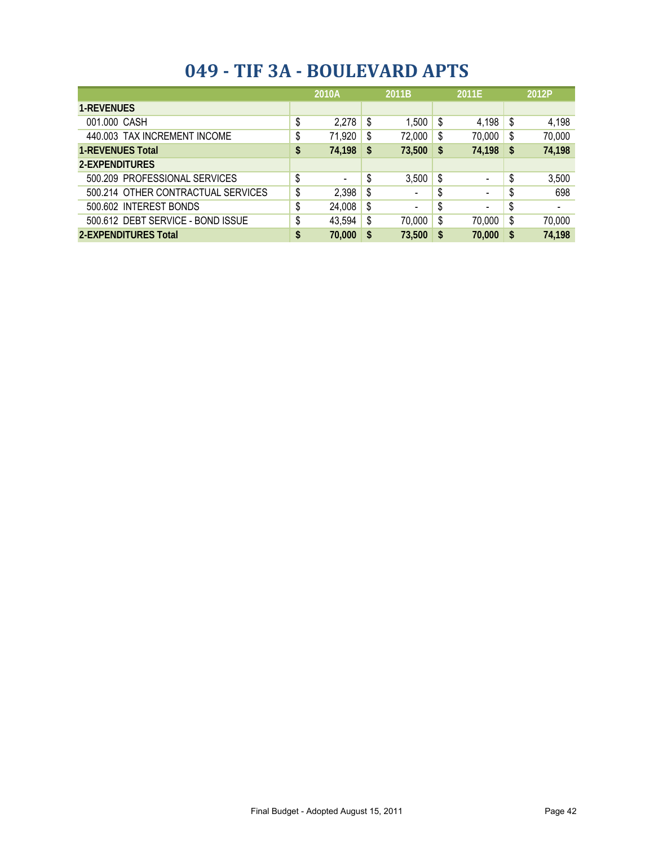| 049 - TIF 3A - BOULEVARD APTS |  |  |
|-------------------------------|--|--|
|-------------------------------|--|--|

|                                    | 2010A                | 2011B |                          | 2011E |                              |    | 2012P                    |
|------------------------------------|----------------------|-------|--------------------------|-------|------------------------------|----|--------------------------|
| <b>1-REVENUES</b>                  |                      |       |                          |       |                              |    |                          |
| 001.000 CASH                       | \$<br>2,278          | \$    | 1,500                    | - \$  | 4,198                        | \$ | 4,198                    |
| 440.003 TAX INCREMENT INCOME       | \$<br>71,920         | \$    | 72,000                   | - \$  | 70,000                       | \$ | 70,000                   |
| <b>1-REVENUES Total</b>            | \$<br>74,198         | \$    | 73,500                   | \$    | 74,198                       | \$ | 74,198                   |
| 2-EXPENDITURES                     |                      |       |                          |       |                              |    |                          |
| 500.209 PROFESSIONAL SERVICES      | \$<br>$\blacksquare$ | \$    | 3,500                    | - \$  | $\qquad \qquad \blacksquare$ | S  | 3,500                    |
| 500.214 OTHER CONTRACTUAL SERVICES | \$<br>2,398          | \$    | $\overline{\phantom{0}}$ | \$    | $\overline{\phantom{a}}$     | S  | 698                      |
| 500.602 INTEREST BONDS             | \$<br>24,008         | \$    |                          | \$    | $\overline{\phantom{a}}$     | S  | $\overline{\phantom{a}}$ |
| 500.612 DEBT SERVICE - BOND ISSUE  | \$<br>43,594         | \$    | 70,000                   | \$    | 70,000                       | \$ | 70,000                   |
| <b>2-EXPENDITURES Total</b>        | \$<br>70,000         | \$    | 73,500                   | S     | 70,000                       | \$ | 74,198                   |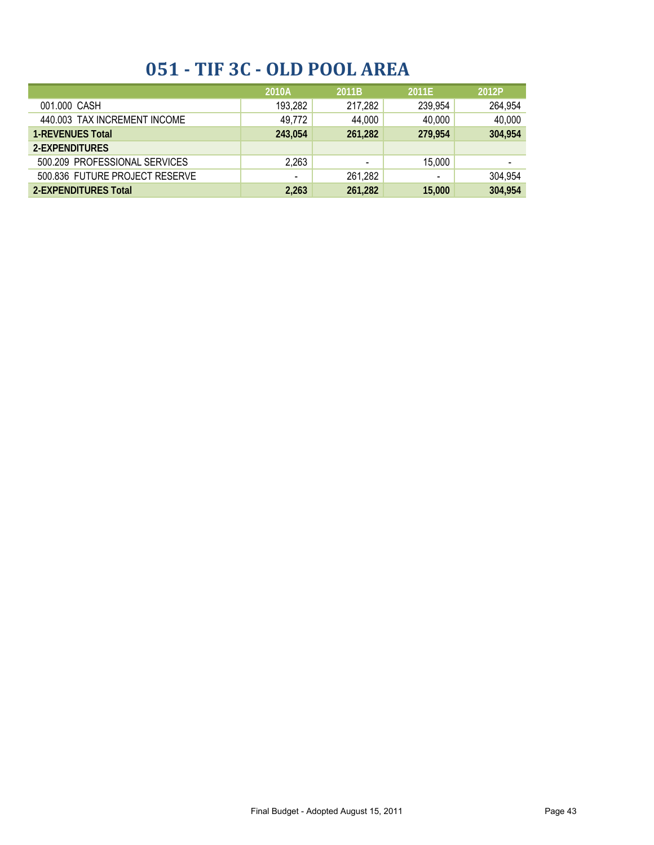## **051 - TIF 3C - OLD POOL AREA**

|                                | 2010A          | 2011B   | 2011E                    | 2012P                    |
|--------------------------------|----------------|---------|--------------------------|--------------------------|
| 001.000 CASH                   | 193,282        | 217,282 | 239,954                  | 264,954                  |
| 440.003 TAX INCREMENT INCOME   | 49,772         | 44,000  | 40,000                   | 40,000                   |
| <b>1-REVENUES Total</b>        | 243.054        | 261,282 | 279.954                  | 304,954                  |
| 2-EXPENDITURES                 |                |         |                          |                          |
| 500.209 PROFESSIONAL SERVICES  | 2,263          | -       | 15,000                   | $\overline{\phantom{0}}$ |
| 500.836 FUTURE PROJECT RESERVE | $\blacksquare$ | 261,282 | $\overline{\phantom{a}}$ | 304,954                  |
| 2-EXPENDITURES Total           | 2,263          | 261,282 | 15,000                   | 304,954                  |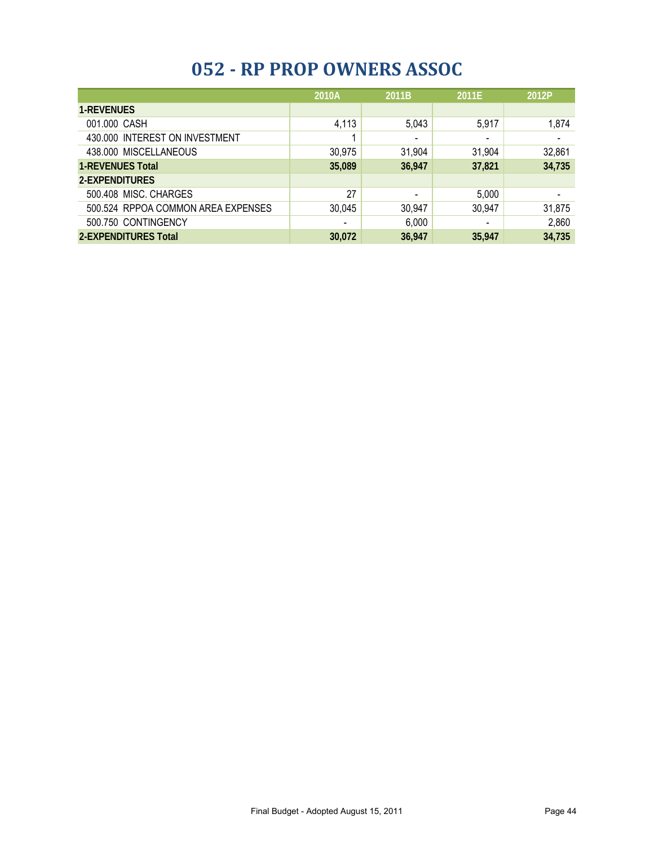### **052 - RP PROP OWNERS ASSOC**

|                                    | 2010A          | 2011B                        | 2011E                    | 2012P  |
|------------------------------------|----------------|------------------------------|--------------------------|--------|
| <b>1-REVENUES</b>                  |                |                              |                          |        |
| 001.000 CASH                       | 4,113          | 5,043                        | 5,917                    | 1,874  |
| 430.000 INTEREST ON INVESTMENT     |                | $\overline{\phantom{0}}$     | $\overline{\phantom{0}}$ |        |
| 438.000 MISCELLANEOUS              | 30,975         | 31,904                       | 31,904                   | 32,861 |
| <b>1-REVENUES Total</b>            | 35,089         | 36,947                       | 37,821                   | 34,735 |
| 2-EXPENDITURES                     |                |                              |                          |        |
| 500.408 MISC. CHARGES              | 27             | $\qquad \qquad \blacksquare$ | 5,000                    |        |
| 500.524 RPPOA COMMON AREA EXPENSES | 30,045         | 30,947                       | 30,947                   | 31,875 |
| 500.750 CONTINGENCY                | $\blacksquare$ | 6,000                        | $\overline{\phantom{a}}$ | 2,860  |
| 2-EXPENDITURES Total               | 30,072         | 36,947                       | 35.947                   | 34,735 |